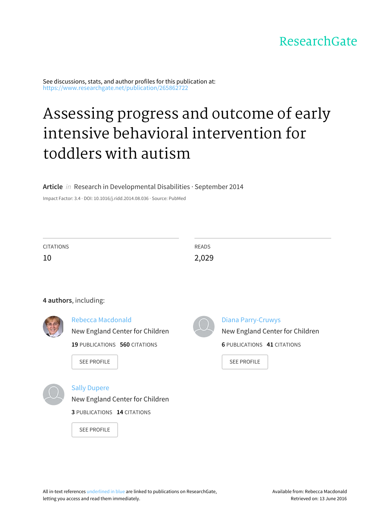## ResearchGate

See discussions, stats, and author profiles for this publication at: [https://www.researchgate.net/publication/265862722](https://www.researchgate.net/publication/265862722_Assessing_progress_and_outcome_of_early_intensive_behavioral_intervention_for_toddlers_with_autism?enrichId=rgreq-ebcc0b7de3d30117b44315a336efa908-XXX&enrichSource=Y292ZXJQYWdlOzI2NTg2MjcyMjtBUzoxNTY4OTMxMDg1MTQ4MTlAMTQxNDQxNzY0MDgzMw%3D%3D&el=1_x_2)

# Assessing progress and outcome of early intensive behavioral [intervention](https://www.researchgate.net/publication/265862722_Assessing_progress_and_outcome_of_early_intensive_behavioral_intervention_for_toddlers_with_autism?enrichId=rgreq-ebcc0b7de3d30117b44315a336efa908-XXX&enrichSource=Y292ZXJQYWdlOzI2NTg2MjcyMjtBUzoxNTY4OTMxMDg1MTQ4MTlAMTQxNDQxNzY0MDgzMw%3D%3D&el=1_x_3) for toddlers with autism

### **Article** in Research in Developmental Disabilities · September 2014

Impact Factor: 3.4 · DOI: 10.1016/j.ridd.2014.08.036 · Source: PubMed

| <b>CITATIONS</b> |                                    | <b>READS</b> |                                    |
|------------------|------------------------------------|--------------|------------------------------------|
| 10               |                                    | 2,029        |                                    |
|                  |                                    |              |                                    |
|                  | 4 authors, including:              |              |                                    |
|                  | Rebecca Macdonald                  |              | <b>Diana Parry-Cruwys</b>          |
|                  | New England Center for Children    |              | New England Center for Children    |
|                  | 19 PUBLICATIONS 560 CITATIONS      |              | <b>6 PUBLICATIONS 41 CITATIONS</b> |
|                  | <b>SEE PROFILE</b>                 |              | <b>SEE PROFILE</b>                 |
|                  |                                    |              |                                    |
|                  | <b>Sally Dupere</b>                |              |                                    |
|                  | New England Center for Children    |              |                                    |
|                  | <b>3 PUBLICATIONS 14 CITATIONS</b> |              |                                    |
|                  | <b>SEE PROFILE</b>                 |              |                                    |
|                  |                                    |              |                                    |
|                  |                                    |              |                                    |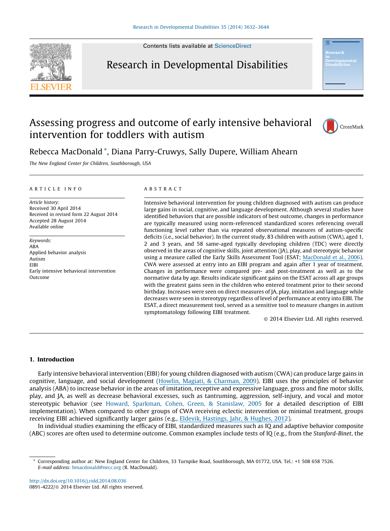Contents lists available at [ScienceDirect](http://www.sciencedirect.com/science/journal/08914222)

## Research in Developmental Disabilities





Rebecca MacDonald \*, Diana Parry-Cruwys, Sally Dupere, William Ahearn

The New England Center for Children, Southborough, USA

#### ARTICLE INFO

Article history: Received 30 April 2014 Received in revised form 22 August 2014 Accepted 28 August 2014 Available online

Keywords: ABA Applied behavior analysis Autism EIBI Early intensive behavioral intervention Outcome

#### ABSTRACT

Intensive behavioral intervention for young children diagnosed with autism can produce large gains in social, cognitive, and language development. Although several studies have identified behaviors that are possible indicators of best outcome, changes in performance are typically measured using norm-referenced standardized scores referencing overall functioning level rather than via repeated observational measures of autism-specific deficits (i.e., social behavior). In the current study, 83 children with autism (CWA), aged 1, 2 and 3 years, and 58 same-aged typically developing children (TDC) were directly observed in the areas of cognitive skills, joint attention (JA), play, and stereotypic behavior using a measure called the Early Skills Assessment Tool (ESAT; [MacDonald et al., 2006](https://www.researchgate.net/publication/7763638_Behavioral_assessment_of_joint_attention_A_methodological_report?el=1_x_8&enrichId=rgreq-ebcc0b7de3d30117b44315a336efa908-XXX&enrichSource=Y292ZXJQYWdlOzI2NTg2MjcyMjtBUzoxNTY4OTMxMDg1MTQ4MTlAMTQxNDQxNzY0MDgzMw==)). CWA were assessed at entry into an EIBI program and again after 1 year of treatment. Changes in performance were compared pre- and post-treatment as well as to the normative data by age. Results indicate significant gains on the ESAT across all age groups with the greatest gains seen in the children who entered treatment prior to their second birthday. Increases were seen on direct measures of JA, play, imitation and language while decreases were seen in stereotypy regardless of level of performance at entry into EIBI. The ESAT, a direct measurement tool, served as a sensitive tool to measure changes in autism symptomatology following EIBI treatment.

- 2014 Elsevier Ltd. All rights reserved.

#### 1. Introduction

Early intensive behavioral intervention (EIBI) for young children diagnosed with autism (CWA) can produce large gains in cognitive, language, and social development ([Howlin, Magiati, & Charman, 2009](https://www.researchgate.net/publication/23787618_Systematic_Review_of_Early_Intensive_Behavioral_Interventions_for_Children_With_Autism?el=1_x_8&enrichId=rgreq-ebcc0b7de3d30117b44315a336efa908-XXX&enrichSource=Y292ZXJQYWdlOzI2NTg2MjcyMjtBUzoxNTY4OTMxMDg1MTQ4MTlAMTQxNDQxNzY0MDgzMw==)). EIBI uses the principles of behavior analysis (ABA) to increase behavior in the areas of imitation, receptive and expressive language, gross and fine motor skills, play, and JA, as well as decrease behavioral excesses, such as tantruming, aggression, self-injury, and vocal and motor stereotypic behavior (see Howard, Sparkman, Cohen, Green, & Stanislaw, 2005 for a detailed description of EIBI implementation). When compared to other groups of CWA receiving eclectic intervention or minimal treatment, groups receiving EIBI achieved significantly larger gains (e.g., [Eldevik, Hastings, Jahr, & Hughes, 2012](https://www.researchgate.net/publication/51031637_Outcomes_of_Behavioral_Intervention_for_Children_with_Autism_in_Mainstream_Pre-School_Settings?el=1_x_8&enrichId=rgreq-ebcc0b7de3d30117b44315a336efa908-XXX&enrichSource=Y292ZXJQYWdlOzI2NTg2MjcyMjtBUzoxNTY4OTMxMDg1MTQ4MTlAMTQxNDQxNzY0MDgzMw==)).

In individual studies examining the efficacy of EIBI, standardized measures such as IQ and adaptive behavior composite (ABC) scores are often used to determine outcome. Common examples include tests of IQ (e.g., from the Stanford-Binet, the

<sup>\*</sup> Corresponding author at: New England Center for Children, 33 Turnpike Road, Southborough, MA 01772, USA. Tel.: +1 508 658 7526. E-mail address: [bmacdonald@necc.org](mailto:bmacdonald@necc.org) (R. MacDonald).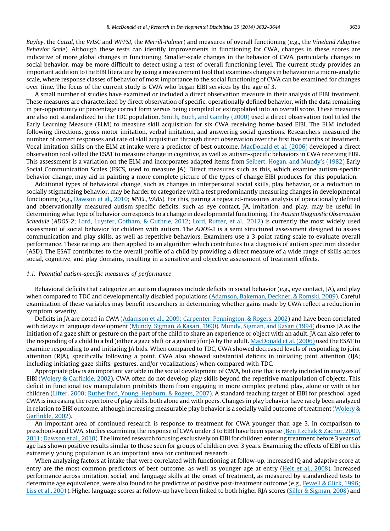Bayley, the Cattal, the WISC and WPPSI, the Merrill-Palmer) and measures of overall functioning (e.g., the Vineland Adaptive Behavior Scale). Although these tests can identify improvements in functioning for CWA, changes in these scores are indicative of more global changes in functioning. Smaller-scale changes in the behavior of CWA, particularly changes in social behavior, may be more difficult to detect using a test of overall functioning level. The current study provides an important addition to the EIBI literature by using a measurement tool that examines changes in behavior on a micro-analytic scale, where response classes of behavior of most importance to the social functioning of CWA can be examined for changes over time. The focus of the current study is CWA who began EIBI services by the age of 3.

A small number of studies have examined or included a direct observation measure in their analysis of EIBI treatment. These measures are characterized by direct observation of specific, operationally defined behavior, with the data remaining in per-opportunity or percentage correct form versus being compiled or extrapolated into an overall score. These measures are also not standardized to the TDC population. Smith, Buch, and Gamby (2000) used a direct observation tool titled the Early Learning Measure (ELM) to measure skill acquisition for six CWA receiving home-based EIBI. The ELM included following directions, gross motor imitation, verbal imitation, and answering social questions. Researchers measured the number of correct responses and rate of skill acquisition through direct observation over the first five months of treatment. Vocal imitation skills on the ELM at intake were a predictor of best outcome. [MacDonald et al. \(2006\)](https://www.researchgate.net/publication/7763638_Behavioral_assessment_of_joint_attention_A_methodological_report?el=1_x_8&enrichId=rgreq-ebcc0b7de3d30117b44315a336efa908-XXX&enrichSource=Y292ZXJQYWdlOzI2NTg2MjcyMjtBUzoxNTY4OTMxMDg1MTQ4MTlAMTQxNDQxNzY0MDgzMw==) developed a direct observation tool called the ESAT to measure change in cognitive, as well as autism-specific behaviors in CWA receiving EIBI. This assessment is a variation on the ELM and incorporates adapted items from Seibert, Hogan, and Mundy's (1982) Early Social Communication Scales (ESCS, used to measure JA). Direct measures such as this, which examine autism-specific behavior change, may aid in painting a more complete picture of the types of change EIBI produces for this population.

Additional types of behavioral change, such as changes in interpersonal social skills, play behavior, or a reduction in socially stigmatizing behavior, may be harder to categorize with a test predominantly measuring changes in developmental functioning (e.g., Dawson et al., 2010; MSEL, VABS). For this, pairing a repeated-measures analysis of operationally defined and observationally measured autism-specific deficits, such as eye contact, JA, imitation, and play, may be useful in determining what type of behavior corresponds to a change in developmental functioning. The Autism Diagnostic Observation Schedule (ADOS-2; Lord, Luyster, Gotham, & Guthrie, 2012; Lord, Rutter, et al., 2012) is currently the most widely used assessment of social behavior for children with autism. The ADOS-2 is a semi structured assessment designed to assess communication and play skills, as well as repetitive behaviors. Examiners use a 3-point rating scale to evaluate overall performance. These ratings are then applied to an algorithm which contributes to a diagnosis of autism spectrum disorder (ASD). The ESAT contributes to the overall profile of a child by providing a direct measure of a wide range of skills across social, cognitive, and play domains, resulting in a sensitive and objective assessment of treatment effects.

#### 1.1. Potential autism-specific measures of performance

Behavioral deficits that categorize an autism diagnosis include deficits in social behavior (e.g., eye contact, JA), and play when compared to TDC and developmentally disabled populations ([Adamson, Bakeman, Deckner, & Romski, 2009](https://www.researchgate.net/publication/5273378_Joint_Engagement_and_the_Emergence_of_Language_in_Children_with_Autism_and_Down_Syndrome?el=1_x_8&enrichId=rgreq-ebcc0b7de3d30117b44315a336efa908-XXX&enrichSource=Y292ZXJQYWdlOzI2NTg2MjcyMjtBUzoxNTY4OTMxMDg1MTQ4MTlAMTQxNDQxNzY0MDgzMw==)). Careful examination of these variables may benefit researchers in determining whether gains made by CWA reflect a reduction in symptom severity.

Deficits in JA are noted in CWA ([Adamson et al., 2009;](https://www.researchgate.net/publication/5273378_Joint_Engagement_and_the_Emergence_of_Language_in_Children_with_Autism_and_Down_Syndrome?el=1_x_8&enrichId=rgreq-ebcc0b7de3d30117b44315a336efa908-XXX&enrichSource=Y292ZXJQYWdlOzI2NTg2MjcyMjtBUzoxNTY4OTMxMDg1MTQ4MTlAMTQxNDQxNzY0MDgzMw==) [Carpenter, Pennington, & Rogers, 2002](https://www.researchgate.net/publication/11315107_Interrelations_Among_Social-Cognitive_Skills_in_Young_Children_with_Autism?el=1_x_8&enrichId=rgreq-ebcc0b7de3d30117b44315a336efa908-XXX&enrichSource=Y292ZXJQYWdlOzI2NTg2MjcyMjtBUzoxNTY4OTMxMDg1MTQ4MTlAMTQxNDQxNzY0MDgzMw==)) and have been correlated with delays in language development ([Mundy, Sigman, & Kasari, 1990](https://www.researchgate.net/publication/225662268_A_lon-gitudinal_study_of_joint_attention_and_language_disorders_in_autistic_children?el=1_x_8&enrichId=rgreq-ebcc0b7de3d30117b44315a336efa908-XXX&enrichSource=Y292ZXJQYWdlOzI2NTg2MjcyMjtBUzoxNTY4OTMxMDg1MTQ4MTlAMTQxNDQxNzY0MDgzMw==)). Mundy, Sigman, and [Kasari \(1994\)](https://www.researchgate.net/publication/231873053_Joint_attention_developmental_level_and_symptom_presentation_in_autism_Development_and_Psychopathology_63_389-401?el=1_x_8&enrichId=rgreq-ebcc0b7de3d30117b44315a336efa908-XXX&enrichSource=Y292ZXJQYWdlOzI2NTg2MjcyMjtBUzoxNTY4OTMxMDg1MTQ4MTlAMTQxNDQxNzY0MDgzMw==) discuss JA as the initiation of a gaze shift or gesture on the part of the child to share an experience or object with an adult. JA can also refer to the responding of a child to a bid (either a gaze shift or a gesture) for JA by the adult. [MacDonald et al. \(2006\)](https://www.researchgate.net/publication/7763638_Behavioral_assessment_of_joint_attention_A_methodological_report?el=1_x_8&enrichId=rgreq-ebcc0b7de3d30117b44315a336efa908-XXX&enrichSource=Y292ZXJQYWdlOzI2NTg2MjcyMjtBUzoxNTY4OTMxMDg1MTQ4MTlAMTQxNDQxNzY0MDgzMw==) used the ESAT to examine responding to and initiating JA bids. When compared to TDC, CWA showed decreased levels of responding to joint attention (RJA), specifically following a point. CWA also showed substantial deficits in initiating joint attention (IJA; including initiating gaze shifts, gestures, and/or vocalizations) when compared with TDC.

Appropriate play is an important variable in the social development of CWA, but one that is rarely included in analyses of EIBI ([Wolery & Garfinkle, 2002](https://www.researchgate.net/publication/11006681_Measures_in_Intervention_Research_with_Young_Children_Who_Have_Autism?el=1_x_8&enrichId=rgreq-ebcc0b7de3d30117b44315a336efa908-XXX&enrichSource=Y292ZXJQYWdlOzI2NTg2MjcyMjtBUzoxNTY4OTMxMDg1MTQ4MTlAMTQxNDQxNzY0MDgzMw==)). CWA often do not develop play skills beyond the repetitive manipulation of objects. This deficit in functional toy manipulation prohibits them from engaging in more complex pretend play, alone or with other children (Lifter, 2000; [Rutherford, Young, Hepburn, & Rogers, 2007](https://www.researchgate.net/publication/6651841_A_Longitudinal_Study_of_Pretend_Play_in_Autism?el=1_x_8&enrichId=rgreq-ebcc0b7de3d30117b44315a336efa908-XXX&enrichSource=Y292ZXJQYWdlOzI2NTg2MjcyMjtBUzoxNTY4OTMxMDg1MTQ4MTlAMTQxNDQxNzY0MDgzMw==)). A standard teaching target of EIBI for preschool-aged CWA is increasing the repertoire of play skills, both alone and with peers. Changes in play behavior have rarely been analyzed in relation to EIBI outcome, although increasing measurable play behavior is a socially valid outcome of treatment ([Wolery &](https://www.researchgate.net/publication/11006681_Measures_in_Intervention_Research_with_Young_Children_Who_Have_Autism?el=1_x_8&enrichId=rgreq-ebcc0b7de3d30117b44315a336efa908-XXX&enrichSource=Y292ZXJQYWdlOzI2NTg2MjcyMjtBUzoxNTY4OTMxMDg1MTQ4MTlAMTQxNDQxNzY0MDgzMw==) [Garfinkle, 2002](https://www.researchgate.net/publication/11006681_Measures_in_Intervention_Research_with_Young_Children_Who_Have_Autism?el=1_x_8&enrichId=rgreq-ebcc0b7de3d30117b44315a336efa908-XXX&enrichSource=Y292ZXJQYWdlOzI2NTg2MjcyMjtBUzoxNTY4OTMxMDg1MTQ4MTlAMTQxNDQxNzY0MDgzMw==)).

An important area of continued research is response to treatment for CWA younger than age 3. In comparison to preschool-aged CWA, studies examining the response of CWA under 3 to EIBI have been sparse ([Ben Itzchak & Zachor, 2009](https://www.researchgate.net/publication/229101513_Change_in_autism_classification_with_early_intervention_Predictors_and_outcomes?el=1_x_8&enrichId=rgreq-ebcc0b7de3d30117b44315a336efa908-XXX&enrichSource=Y292ZXJQYWdlOzI2NTg2MjcyMjtBUzoxNTY4OTMxMDg1MTQ4MTlAMTQxNDQxNzY0MDgzMw==)[,](https://www.researchgate.net/publication/229410038_Who_benefits_from_early_intervention_in_autism_spectrum_disorders?el=1_x_8&enrichId=rgreq-ebcc0b7de3d30117b44315a336efa908-XXX&enrichSource=Y292ZXJQYWdlOzI2NTg2MjcyMjtBUzoxNTY4OTMxMDg1MTQ4MTlAMTQxNDQxNzY0MDgzMw==) [2011](https://www.researchgate.net/publication/229410038_Who_benefits_from_early_intervention_in_autism_spectrum_disorders?el=1_x_8&enrichId=rgreq-ebcc0b7de3d30117b44315a336efa908-XXX&enrichSource=Y292ZXJQYWdlOzI2NTg2MjcyMjtBUzoxNTY4OTMxMDg1MTQ4MTlAMTQxNDQxNzY0MDgzMw==); [Dawson et al., 2010](https://www.researchgate.net/publication/40041704_Randomized_Controlled_Trial_of_an_Intervention_for_Toddlers_With_Autism_The_Early_Start_Denver_Model?el=1_x_8&enrichId=rgreq-ebcc0b7de3d30117b44315a336efa908-XXX&enrichSource=Y292ZXJQYWdlOzI2NTg2MjcyMjtBUzoxNTY4OTMxMDg1MTQ4MTlAMTQxNDQxNzY0MDgzMw==)). The limited research focusing exclusively on EIBI for children entering treatment before 3 years of age has shown positive results similar to those seen for groups of children over 3 years. Examining the effects of EIBI on this extremely young population is an important area for continued research.

When analyzing factors at intake that were correlated with functioning at follow-up, increased IQ and adaptive score at entry are the most common predictors of best outcome, as well as younger age at entry ([Helt et al., 2008](https://www.researchgate.net/publication/23473696_Can_Children_with_Autism_Recover_If_So_How?el=1_x_8&enrichId=rgreq-ebcc0b7de3d30117b44315a336efa908-XXX&enrichSource=Y292ZXJQYWdlOzI2NTg2MjcyMjtBUzoxNTY4OTMxMDg1MTQ4MTlAMTQxNDQxNzY0MDgzMw==)). Increased performance across imitation, social, and language skills at the onset of treatment, as measured by standardized tests to determine age equivalence, were also found to be predictive of positive post-treatment outcome (e.g., [Fewell & Glick, 1996;](https://www.researchgate.net/publication/14273077_Program_evaluation_findings_of_an_intensive_early_intervention_program?el=1_x_8&enrichId=rgreq-ebcc0b7de3d30117b44315a336efa908-XXX&enrichSource=Y292ZXJQYWdlOzI2NTg2MjcyMjtBUzoxNTY4OTMxMDg1MTQ4MTlAMTQxNDQxNzY0MDgzMw==) [Liss et al., 2001](https://www.researchgate.net/publication/226714894_Predictors_and_Correlates_of_Adaptive_Functioning_in_Children_with_Developmental_Disorders?el=1_x_8&enrichId=rgreq-ebcc0b7de3d30117b44315a336efa908-XXX&enrichSource=Y292ZXJQYWdlOzI2NTg2MjcyMjtBUzoxNTY4OTMxMDg1MTQ4MTlAMTQxNDQxNzY0MDgzMw==)). Higher language scores at follow-up have been linked to both higher RJA scores ([Siller & Sigman, 2008](https://www.researchgate.net/publication/23463842_Modeling_Longitudinal_Change_in_the_Language_Abilities_of_Children_With_Autism_Parent_Behaviors_and_Child_Characteristics_as_Predictors_of_Change?el=1_x_8&enrichId=rgreq-ebcc0b7de3d30117b44315a336efa908-XXX&enrichSource=Y292ZXJQYWdlOzI2NTg2MjcyMjtBUzoxNTY4OTMxMDg1MTQ4MTlAMTQxNDQxNzY0MDgzMw==)) and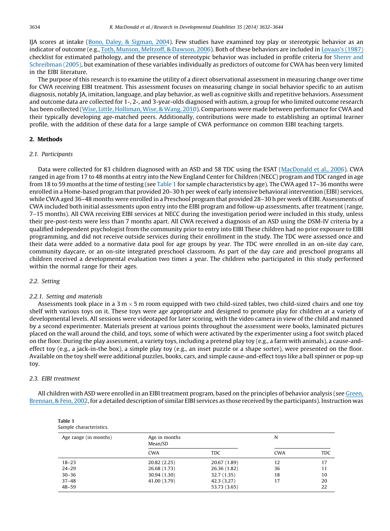IJA scores at intake ([Bono, Daley, & Sigman, 2004](https://www.researchgate.net/publication/8101590_Relations_Among_Joint_Attention_Amount_of_Intervention_and_Language_Gain_in_Autism?el=1_x_8&enrichId=rgreq-ebcc0b7de3d30117b44315a336efa908-XXX&enrichSource=Y292ZXJQYWdlOzI2NTg2MjcyMjtBUzoxNTY4OTMxMDg1MTQ4MTlAMTQxNDQxNzY0MDgzMw==)). Few studies have examined toy play or stereotypic behavior as an indicator of outcome (e.g., [Toth, Munson, Meltzoff, & Dawson, 2006](https://www.researchgate.net/publication/6939367_Early_Predictors_of_Communication_Development_in_Young_Children_with_Autism_Spectrum_Disorder_Joint_Attention_Imitation_and_Toy_Play?el=1_x_8&enrichId=rgreq-ebcc0b7de3d30117b44315a336efa908-XXX&enrichSource=Y292ZXJQYWdlOzI2NTg2MjcyMjtBUzoxNTY4OTMxMDg1MTQ4MTlAMTQxNDQxNzY0MDgzMw==)). Both of these behaviors are included in [Lovaas's \(1987\)](https://www.researchgate.net/publication/19589582_Lovaas_O_I_Behavioral_treatment_and_normal_educational_and_intellectual-functioning_in_young_autistic-children_J_Consult_Clin_Psychol_55_3-9?el=1_x_8&enrichId=rgreq-ebcc0b7de3d30117b44315a336efa908-XXX&enrichSource=Y292ZXJQYWdlOzI2NTg2MjcyMjtBUzoxNTY4OTMxMDg1MTQ4MTlAMTQxNDQxNzY0MDgzMw==) checklist for estimated pathology, and the presence of stereotypic behavior was included in profile criteria for Sherer and Schreibman (2005), but examination of these variables individually as predictors of outcome for CWA has been very limited in the EIBI literature.

The purpose of this research is to examine the utility of a direct observational assessment in measuring change over time for CWA receiving EIBI treatment. This assessment focuses on measuring change in social behavior specific to an autism diagnosis, notably JA, imitation, language, and play behavior, as well as cognitive skills and repetitive behaviors. Assessment and outcome data are collected for 1-, 2-, and 3-year-olds diagnosed with autism, a group for who limited outcome research has been collected ([Wise, Little, Holliman, Wise, & Wang, 2010](https://www.researchgate.net/publication/44806961_Can_State_Early_Intervention_Programs_Meet_the_Increased_Demand_of_Children_Suspected_of_Having_Autism_Spectrum_Disorders?el=1_x_8&enrichId=rgreq-ebcc0b7de3d30117b44315a336efa908-XXX&enrichSource=Y292ZXJQYWdlOzI2NTg2MjcyMjtBUzoxNTY4OTMxMDg1MTQ4MTlAMTQxNDQxNzY0MDgzMw==)). Comparisons were made between performance for CWA and their typically developing age-matched peers. Additionally, contributions were made to establishing an optimal learner profile, with the addition of these data for a large sample of CWA performance on common EIBI teaching targets.

#### 2. Methods

#### 2.1. Participants

Data were collected for 83 children diagnosed with an ASD and 58 TDC using the ESAT ([MacDonald et al., 2006](https://www.researchgate.net/publication/7763638_Behavioral_assessment_of_joint_attention_A_methodological_report?el=1_x_8&enrichId=rgreq-ebcc0b7de3d30117b44315a336efa908-XXX&enrichSource=Y292ZXJQYWdlOzI2NTg2MjcyMjtBUzoxNTY4OTMxMDg1MTQ4MTlAMTQxNDQxNzY0MDgzMw==)). CWA ranged in age from 17 to 48 months at entry into the New England Center for Children (NECC) program and TDC ranged in age from 18 to 59 months at the time of testing (see Table 1 for sample characteristics by age). The CWA aged 17–36 months were enrolled in a Home-based program that provided 20–30 h per week of early intensive behavioral intervention (EIBI) services, while CWA aged 36–48 months were enrolled in a Preschool program that provided 28–30 h per week of EIBI. Assessments of CWA included both initial assessments upon entry into the EIBI program and follow-up assessments, after treatment (range, 7–15 months). All CWA receiving EIBI services at NECC during the investigation period were included in this study, unless their pre-post-tests were less than 7 months apart. All CWA received a diagnosis of an ASD using the DSM-IV criteria by a qualified independent psychologist from the community prior to entry into EIBI These children had no prior exposure to EIBI programming, and did not receive outside services during their enrollment in the study. The TDC were assessed once and their data were added to a normative data pool for age groups by year. The TDC were enrolled in an on-site day care, community daycare, or an on-site integrated preschool classroom. As part of the day care and preschool programs all children received a developmental evaluation two times a year. The children who participated in this study performed within the normal range for their ages.

#### 2.2. Setting

#### 2.2.1. Setting and materials

Assessments took place in a 3 m  $\times$  5 m room equipped with two child-sized tables, two child-sized chairs and one toy shelf with various toys on it. These toys were age appropriate and designed to promote play for children at a variety of developmental levels. All sessions were videotaped for later scoring, with the video camera in view of the child and manned by a second experimenter. Materials present at various points throughout the assessment were books, laminated pictures placed on the wall around the child, and toys, some of which were activated by the experimenter using a foot switch placed on the floor. During the play assessment, a variety toys, including a pretend play toy (e.g., a farm with animals), a cause-andeffect toy (e.g., a jack-in-the box), a simple play toy (e.g., an inset puzzle or a shape sorter), were presented on the floor. Available on the toy shelf were additional puzzles, books, cars, and simple cause-and-effect toys like a ball spinner or pop-up toy.

#### 2.3. EIBI treatment

All children with ASD were enrolled in an EIBI treatment program, based on the principles of behavior analysis (see [Green,](https://www.researchgate.net/publication/11558603_Intensive_Behavioral_Treatment_for_a_Toddler_at_High_Risk_for_Autism?el=1_x_8&enrichId=rgreq-ebcc0b7de3d30117b44315a336efa908-XXX&enrichSource=Y292ZXJQYWdlOzI2NTg2MjcyMjtBUzoxNTY4OTMxMDg1MTQ4MTlAMTQxNDQxNzY0MDgzMw==) [Brennan, & Fein, 2002](https://www.researchgate.net/publication/11558603_Intensive_Behavioral_Treatment_for_a_Toddler_at_High_Risk_for_Autism?el=1_x_8&enrichId=rgreq-ebcc0b7de3d30117b44315a336efa908-XXX&enrichSource=Y292ZXJQYWdlOzI2NTg2MjcyMjtBUzoxNTY4OTMxMDg1MTQ4MTlAMTQxNDQxNzY0MDgzMw==), for a detailed description of similar EIBI services as those received by the participants). Instruction was

| Table 1<br>Sample characteristics. |                          |              |            |            |  |  |
|------------------------------------|--------------------------|--------------|------------|------------|--|--|
| Age range (in months)              | Age in months<br>Mean/SD |              | N          |            |  |  |
|                                    | <b>CWA</b>               | <b>TDC</b>   | <b>CWA</b> | <b>TDC</b> |  |  |
| $18 - 23$                          | 20.82 (2.25)             | 20.67 (1.89) | 12         | 17         |  |  |
| $24 - 29$                          | 26.68 (1.73)             | 26.36 (1.82) | 36         | 11         |  |  |
| $30 - 36$                          | 30.94 (1.30)             | 32.7(1.35)   | 18         | 10         |  |  |
| $37 - 48$                          | 41.00 (3.79)             | 42.3 (3.27)  | 17         | 20         |  |  |
| $48 - 59$                          |                          | 53.73 (3.65) |            | 22         |  |  |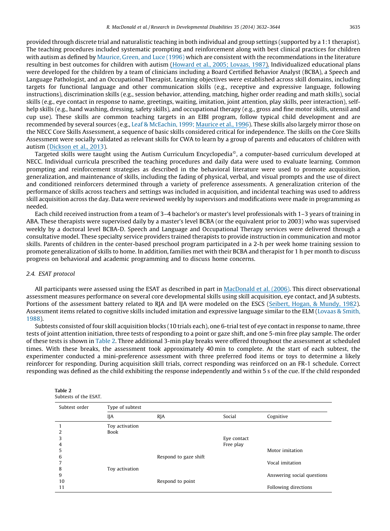provided through discrete trial and naturalistic teaching in both individual and group settings (supported by a 1:1 therapist). The teaching procedures included systematic prompting and reinforcement along with best clinical practices for children with autism as defined by Maurice, Green, and Luce (1996) which are consistent with the recommendations in the literature resulting in best outcomes for children with autism [\(H](https://www.researchgate.net/publication/19589582_Lovaas_O_I_Behavioral_treatment_and_normal_educational_and_intellectual-functioning_in_young_autistic-children_J_Consult_Clin_Psychol_55_3-9?el=1_x_8&enrichId=rgreq-ebcc0b7de3d30117b44315a336efa908-XXX&enrichSource=Y292ZXJQYWdlOzI2NTg2MjcyMjtBUzoxNTY4OTMxMDg1MTQ4MTlAMTQxNDQxNzY0MDgzMw==)[oward et al., 2005](https://www.researchgate.net/publication/7967274_A_comparison_of_intensive_behavior_analytic_and_eclectic_treatments_for_young_children_with_autism_Research_in_Developmental_Disabilities_264_359-383?el=1_x_8&enrichId=rgreq-ebcc0b7de3d30117b44315a336efa908-XXX&enrichSource=Y292ZXJQYWdlOzI2NTg2MjcyMjtBUzoxNTY4OTMxMDg1MTQ4MTlAMTQxNDQxNzY0MDgzMw==)[; Lovaas, 1987\).](https://www.researchgate.net/publication/19589582_Lovaas_O_I_Behavioral_treatment_and_normal_educational_and_intellectual-functioning_in_young_autistic-children_J_Consult_Clin_Psychol_55_3-9?el=1_x_8&enrichId=rgreq-ebcc0b7de3d30117b44315a336efa908-XXX&enrichSource=Y292ZXJQYWdlOzI2NTg2MjcyMjtBUzoxNTY4OTMxMDg1MTQ4MTlAMTQxNDQxNzY0MDgzMw==) Individualized educational plans were developed for the children by a team of clinicians including a Board Certified Behavior Analyst (BCBA), a Speech and Language Pathologist, and an Occupational Therapist. Learning objectives were established across skill domains, including targets for functional language and other communication skills (e.g., receptive and expressive language, following instructions), discrimination skills (e.g., session behavior, attending, matching, higher order reading and math skills), social skills (e.g., eye contact in response to name, greetings, waiting, imitation, joint attention, play skills, peer interaction), selfhelp skills (e.g., hand washing, dressing, safety skills), and occupational therapy (e.g., gross and fine motor skills, utensil and cup use). These skills are common teaching targets in an EIBI program, follow typical child development and are recommended by several sources (e.g., Leaf & McEachin, 1999; [Maurice et al., 1996](https://www.researchgate.net/publication/232553486_Behavioral_Intervention_For_Young_Children_With_Autism_A_Manual_For_Parents_And_Professionals?el=1_x_8&enrichId=rgreq-ebcc0b7de3d30117b44315a336efa908-XXX&enrichSource=Y292ZXJQYWdlOzI2NTg2MjcyMjtBUzoxNTY4OTMxMDg1MTQ4MTlAMTQxNDQxNzY0MDgzMw==)). These skills also largely mirror those on the NECC Core Skills Assessment, a sequence of basic skills considered critical for independence. The skills on the Core Skills Assessment were socially validated as relevant skills for CWA to learn by a group of parents and educators of children with autism ([Dickson et al., 2013](https://www.researchgate.net/publication/236968053_Social_validation_of_the_New_England_Center_For_Children--Core_Skills_Assessment?el=1_x_8&enrichId=rgreq-ebcc0b7de3d30117b44315a336efa908-XXX&enrichSource=Y292ZXJQYWdlOzI2NTg2MjcyMjtBUzoxNTY4OTMxMDg1MTQ4MTlAMTQxNDQxNzY0MDgzMw==)).

Targeted skills were taught using the Autism Curriculum Encyclopedia®, a computer-based curriculum developed at NECC. Individual curricula prescribed the teaching procedures and daily data were used to evaluate learning. Common prompting and reinforcement strategies as described in the behavioral literature were used to promote acquisition, generalization, and maintenance of skills, including the fading of physical, verbal, and visual prompts and the use of direct and conditioned reinforcers determined through a variety of preference assessments. A generalization criterion of the performance of skills across teachers and settings was included in acquisition, and incidental teaching was used to address skill acquisition across the day. Data were reviewed weekly by supervisors and modifications were made in programming as needed.

Each child received instruction from a team of 3–4 bachelor's or master's level professionals with 1–3 years of training in ABA. These therapists were supervised daily by a master's level BCBA (or the equivalent prior to 2003) who was supervised weekly by a doctoral level BCBA-D. Speech and Language and Occupational Therapy services were delivered through a consultative model. These specialty service providers trained therapists to provide instruction in communication and motor skills. Parents of children in the center-based preschool program participated in a 2-h per week home training session to promote generalization of skills to home. In addition, families met with their BCBA and therapist for 1 h per month to discuss progress on behavioral and academic programming and to discuss home concerns.

#### 2.4. ESAT protocol

All participants were assessed using the ESAT as described in part in [MacDonald et al. \(2006\)](https://www.researchgate.net/publication/7763638_Behavioral_assessment_of_joint_attention_A_methodological_report?el=1_x_8&enrichId=rgreq-ebcc0b7de3d30117b44315a336efa908-XXX&enrichSource=Y292ZXJQYWdlOzI2NTg2MjcyMjtBUzoxNTY4OTMxMDg1MTQ4MTlAMTQxNDQxNzY0MDgzMw==). This direct observational assessment measures performance on several core developmental skills using skill acquisition, eye contact, and JA subtests. Portions of the assessment battery related to RJA and IJA were modeled on the ESCS ([Seibert, Hogan, & Mundy, 1982](https://www.researchgate.net/publication/229896771_Assessing_interactional_competencies_The_Early_Social-Communication_Scales?el=1_x_8&enrichId=rgreq-ebcc0b7de3d30117b44315a336efa908-XXX&enrichSource=Y292ZXJQYWdlOzI2NTg2MjcyMjtBUzoxNTY4OTMxMDg1MTQ4MTlAMTQxNDQxNzY0MDgzMw==)). Assessment items related to cognitive skills included imitation and expressive language similar to the ELM (Lovaas & Smith, 1988).

Subtests consisted of four skill acquisition blocks (10 trials each), one 6-trial test of eye contact in response to name, three tests of joint attention initiation, three tests of responding to a point or gaze shift, and one 5-min free play sample. The order of these tests is shown in Table 2. Three additional 3-min play breaks were offered throughout the assessment at scheduled times. With these breaks, the assessment took approximately 40 min to complete. At the start of each subtest, the experimenter conducted a mini-preference assessment with three preferred food items or toys to determine a likely reinforcer for responding. During acquisition skill trials, correct responding was reinforced on an FR-1 schedule. Correct responding was defined as the child exhibiting the response independently and within 5 s of the cue. If the child responded

| Table 2<br>Subtests of the ESAT. |                 |                       |             |                            |  |  |
|----------------------------------|-----------------|-----------------------|-------------|----------------------------|--|--|
| Subtest order                    | Type of subtest |                       |             |                            |  |  |
|                                  | <b>IJA</b>      | <b>RJA</b>            | Social      | Cognitive                  |  |  |
|                                  | Toy activation  |                       |             |                            |  |  |
|                                  | Book            |                       |             |                            |  |  |
| 3                                |                 |                       | Eye contact |                            |  |  |
| 4                                |                 |                       | Free play   |                            |  |  |
| 5                                |                 |                       |             | Motor imitation            |  |  |
| 6                                |                 | Respond to gaze shift |             |                            |  |  |
|                                  |                 |                       |             | Vocal imitation            |  |  |
| 8                                | Toy activation  |                       |             |                            |  |  |
| 9                                |                 |                       |             | Answering social questions |  |  |
| 10                               |                 | Respond to point      |             |                            |  |  |
| 11                               |                 |                       |             | Following directions       |  |  |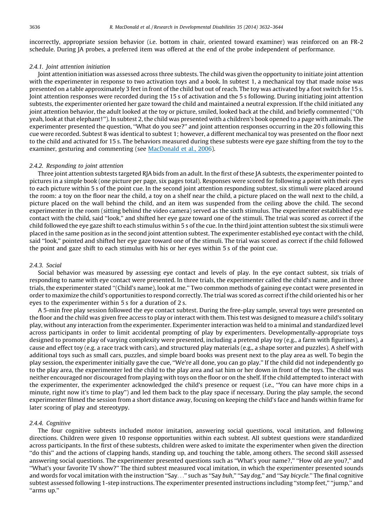incorrectly, appropriate session behavior (i.e. bottom in chair, oriented toward examiner) was reinforced on an FR-2 schedule. During JA probes, a preferred item was offered at the end of the probe independent of performance.

#### 2.4.1. Joint attention initiation

Joint attention initiation was assessed across three subtests. The child was given the opportunity to initiate joint attention with the experimenter in response to two activation toys and a book. In subtest 1, a mechanical toy that made noise was presented on a table approximately 3 feet in front of the child but out of reach. The toy was activated by a foot switch for 15 s. Joint attention responses were recorded during the 15 s of activation and the 5 s following. During initiating joint attention subtests, the experimenter oriented her gaze toward the child and maintained a neutral expression. If the child initiated any joint attention behavior, the adult looked at the toy or picture, smiled, looked back at the child, and briefly commented (''Oh yeah, look at that elephant!''). In subtest 2, the child was presented with a children's book opened to a page with animals. The experimenter presented the question, ''What do you see?'' and joint attention responses occurring in the 20 s following this cue were recorded. Subtest 8 was identical to subtest 1; however, a different mechanical toy was presented on the floor next to the child and activated for 15 s. The behaviors measured during these subtests were eye gaze shifting from the toy to the examiner, gesturing and commenting (see [MacDonald et al., 2006](https://www.researchgate.net/publication/7763638_Behavioral_assessment_of_joint_attention_A_methodological_report?el=1_x_8&enrichId=rgreq-ebcc0b7de3d30117b44315a336efa908-XXX&enrichSource=Y292ZXJQYWdlOzI2NTg2MjcyMjtBUzoxNTY4OTMxMDg1MTQ4MTlAMTQxNDQxNzY0MDgzMw==)).

#### 2.4.2. Responding to joint attention

Three joint attention subtests targeted RJA bids from an adult. In the first of these JA subtests, the experimenter pointed to pictures in a simple book (one picture per page, six pages total). Responses were scored for following a point with their eyes to each picture within 5 s of the point cue. In the second joint attention responding subtest, six stimuli were placed around the room: a toy on the floor near the child, a toy on a shelf near the child, a picture placed on the wall next to the child, a picture placed on the wall behind the child, and an item was suspended from the ceiling above the child. The second experimenter in the room (sitting behind the video camera) served as the sixth stimulus. The experimenter established eye contact with the child, said ''look,'' and shifted her eye gaze toward one of the stimuli. The trial was scored as correct if the child followed the eye gaze shift to each stimulus within 5 s of the cue. In the third joint attention subtest the six stimuli were placed in the same position as in the second joint attention subtest. The experimenter established eye contact with the child, said ''look,'' pointed and shifted her eye gaze toward one of the stimuli. The trial was scored as correct if the child followed the point and gaze shift to each stimulus with his or her eyes within 5 s of the point cue.

#### 2.4.3. Social

Social behavior was measured by assessing eye contact and levels of play. In the eye contact subtest, six trials of responding to name with eye contact were presented. In three trials, the experimenter called the child's name, and in three trials, the experimenter stated ''(Child's name), look at me.'' Two common methods of gaining eye contact were presented in order to maximize the child's opportunities to respond correctly. The trial was scored as correct if the child oriented his or her eyes to the experimenter within 5 s for a duration of 2 s.

A 5-min free play session followed the eye contact subtest. During the free-play sample, several toys were presented on the floor and the child was given free access to play or interact with them. This test was designed to measure a child's solitary play, without any interaction from the experimenter. Experimenter interaction was held to a minimal and standardized level across participants in order to limit accidental prompting of play by experimenters. Developmentally-appropriate toys designed to promote play of varying complexity were presented, including a pretend play toy (e.g., a farm with figurines), a cause and effect toy (e.g. a race track with cars), and structured play materials (e.g., a shape sorter and puzzles). A shelf with additional toys such as small cars, puzzles, and simple board books was present next to the play area as well. To begin the play session, the experimenter initially gave the cue, ''We're all done, you can go play.'' If the child did not independently go to the play area, the experimenter led the child to the play area and sat him or her down in front of the toys. The child was neither encouraged nor discouraged from playing with toys on the floor or on the shelf. If the child attempted to interact with the experimenter, the experimenter acknowledged the child's presence or request (i.e., ''You can have more chips in a minute, right now it's time to play'') and led them back to the play space if necessary. During the play sample, the second experimenter filmed the session from a short distance away, focusing on keeping the child's face and hands within frame for later scoring of play and stereotypy.

#### 2.4.4. Cognitive

The four cognitive subtests included motor imitation, answering social questions, vocal imitation, and following directions. Children were given 10 response opportunities within each subtest. All subtest questions were standardized across participants. In the first of these subtests, children were asked to imitate the experimenter when given the direction ''do this'' and the actions of clapping hands, standing up, and touching the table, among others. The second skill assessed answering social questions. The experimenter presented questions such as ''What's your name?,'' ''How old are you?,'' and ''What's your favorite TV show?'' The third subtest measured vocal imitation, in which the experimenter presented sounds and words for vocal imitation with the instruction "Say..." such as "Say buh," "Say dog," and "Say bicycle." The final cognitive subtest assessed following 1-step instructions. The experimenter presented instructions including ''stomp feet,'' ''jump,'' and ''arms up.''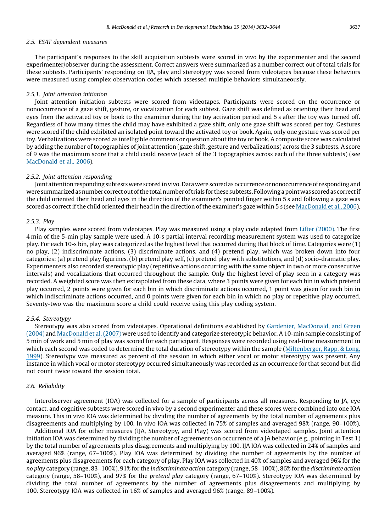#### 2.5. ESAT dependent measures

The participant's responses to the skill acquisition subtests were scored in vivo by the experimenter and the second experimenter/observer during the assessment. Correct answers were summarized as a number correct out of total trials for these subtests. Participants' responding on IJA, play and stereotypy was scored from videotapes because these behaviors were measured using complex observation codes which assessed multiple behaviors simultaneously.

#### 2.5.1. Joint attention initiation

Joint attention initiation subtests were scored from videotapes. Participants were scored on the occurrence or nonoccurrence of a gaze shift, gesture, or vocalization for each subtest. Gaze shift was defined as orienting their head and eyes from the activated toy or book to the examiner during the toy activation period and 5 s after the toy was turned off. Regardless of how many times the child may have exhibited a gaze shift, only one gaze shift was scored per toy. Gestures were scored if the child exhibited an isolated point toward the activated toy or book. Again, only one gesture was scored per toy. Verbalizations were scored as intelligible comments or question about the toy or book. A composite score was calculated by adding the number of topographies of joint attention (gaze shift, gesture and verbalizations) across the 3 subtests. A score of 9 was the maximum score that a child could receive (each of the 3 topographies across each of the three subtests) (see MacDonald et al., 2006).

#### 2.5.2. Joint attention responding

Joint attention responding subtests were scored in vivo. Data were scored as occurrence or nonoccurrence of responding and were summarized as numbercorrect out of the total number of trials for these subtests. Following a pointwas scored as correct if the child oriented their head and eyes in the direction of the examiner's pointed finger within 5 s and following a gaze was scored as correct if the child oriented their head in the direction of the examiner's gaze within 5 s (see [MacDonald et al., 2006](https://www.researchgate.net/publication/7763638_Behavioral_assessment_of_joint_attention_A_methodological_report?el=1_x_8&enrichId=rgreq-ebcc0b7de3d30117b44315a336efa908-XXX&enrichSource=Y292ZXJQYWdlOzI2NTg2MjcyMjtBUzoxNTY4OTMxMDg1MTQ4MTlAMTQxNDQxNzY0MDgzMw==)).

#### 2.5.3. Play

Play samples were scored from videotapes. Play was measured using a play code adapted from Lifter (2000). The first 4 min of the 5-min play sample were used. A 10-s partial interval recording measurement system was used to categorize play. For each 10-s bin, play was categorized as the highest level that occurred during that block of time. Categories were (1) no play, (2) indiscriminate actions, (3) discriminate actions, and (4) pretend play, which was broken down into four categories: (a) pretend play figurines, (b) pretend play self, (c) pretend play with substitutions, and (d) socio-dramatic play. Experimenters also recorded stereotypic play (repetitive actions occurring with the same object in two or more consecutive intervals) and vocalizations that occurred throughout the sample. Only the highest level of play seen in a category was recorded. A weighted score was then extrapolated from these data, where 3 points were given for each bin in which pretend play occurred, 2 points were given for each bin in which discriminate actions occurred, 1 point was given for each bin in which indiscriminate actions occurred, and 0 points were given for each bin in which no play or repetitive play occurred. Seventy-two was the maximum score a child could receive using this play coding system.

#### 2.5.4. Stereotypy

Stereotypy was also scored from videotapes. Operational definitions established by Gardenier, MacDonald, and Green (2004) and [MacDonald et al. \(2007\)](https://www.researchgate.net/publication/6969345_Stereotypy_in_young_children_with_autism_and_typically_developing_children?el=1_x_8&enrichId=rgreq-ebcc0b7de3d30117b44315a336efa908-XXX&enrichSource=Y292ZXJQYWdlOzI2NTg2MjcyMjtBUzoxNTY4OTMxMDg1MTQ4MTlAMTQxNDQxNzY0MDgzMw==) were used to identify and categorize stereotypic behavior. A 10-min sample consisting of 5 min of work and 5 min of play was scored for each participant. Responses were recorded using real-time measurement in which each second was coded to determine the total duration of stereotypy within the sample ([Miltenberger, Rapp, & Long,](https://www.researchgate.net/publication/264409401_A_Low-Tech_Method_For_Conduction_Real-Time_Recording?el=1_x_8&enrichId=rgreq-ebcc0b7de3d30117b44315a336efa908-XXX&enrichSource=Y292ZXJQYWdlOzI2NTg2MjcyMjtBUzoxNTY4OTMxMDg1MTQ4MTlAMTQxNDQxNzY0MDgzMw==) [1999](https://www.researchgate.net/publication/264409401_A_Low-Tech_Method_For_Conduction_Real-Time_Recording?el=1_x_8&enrichId=rgreq-ebcc0b7de3d30117b44315a336efa908-XXX&enrichSource=Y292ZXJQYWdlOzI2NTg2MjcyMjtBUzoxNTY4OTMxMDg1MTQ4MTlAMTQxNDQxNzY0MDgzMw==)). Stereotypy was measured as percent of the session in which either vocal or motor stereotypy was present. Any instance in which vocal or motor stereotypy occurred simultaneously was recorded as an occurrence for that second but did not count twice toward the session total.

#### 2.6. Reliability

Interobserver agreement (IOA) was collected for a sample of participants across all measures. Responding to JA, eye contact, and cognitive subtests were scored in vivo by a second experimenter and these scores were combined into one IOA measure. This in vivo IOA was determined by dividing the number of agreements by the total number of agreements plus disagreements and multiplying by 100. In vivo IOA was collected in 75% of samples and averaged 98% (range, 90–100%).

Additional IOA for other measures (IJA, Stereotypy, and Play) was scored from videotaped samples. Joint attention initiation IOA was determined by dividing the number of agreements on occurrence of a JA behavior (e.g., pointing in Test 1) by the total number of agreements plus disagreements and multiplying by 100. IJA IOA was collected in 24% of samples and averaged 96% (range, 67–100%). Play IOA was determined by dividing the number of agreements by the number of agreements plus disagreements for each category of play. Play IOA was collected in 40% of samples and averaged 96% for the no play category (range, 83–100%), 91% for the indiscriminate action category (range, 58–100%), 86% for the discriminate action category (range, 58–100%), and 97% for the pretend play category (range, 67–100%). Stereotypy IOA was determined by dividing the total number of agreements by the number of agreements plus disagreements and multiplying by 100. Stereotypy IOA was collected in 16% of samples and averaged 96% (range, 89–100%).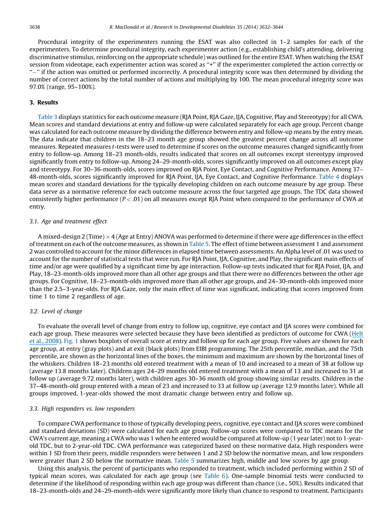Procedural integrity of the experimenters running the ESAT was also collected in 1–2 samples for each of the experimenters. To determine procedural integrity, each experimenter action (e.g., establishing child's attending, delivering discriminative stimulus, reinforcing on the appropriate schedule) was outlined for the entire ESAT. When watching the ESAT session from videotape, each experimenter action was scored as "+" if the experimenter completed the action correctly or '''' if the action was omitted or performed incorrectly. A procedural integrity score was then determined by dividing the number of correct actions by the total number of actions and multiplying by 100. The mean procedural integrity score was 97.0% (range, 95–100%).

#### 3. Results

Table 3 displays statistics for each outcome measure (RJA Point, RJA Gaze, IJA, Cognitive, Play and Stereotypy) for all CWA. Mean scores and standard deviations at entry and follow-up were calculated separately for each age group. Percent change was calculated for each outcome measure by dividing the difference between entry and follow-up means by the entry mean. The data indicate that children in the 18–23 month age group showed the greatest percent change across all outcome measures. Repeated measures t-tests were used to determine if scores on the outcome measures changed significantly from entry to follow-up. Among 18–23 month-olds, results indicated that scores on all outcomes except stereotypy improved significantly from entry to follow-up. Among 24–29-month-olds, scores significantly improved on all outcomes except play and stereotypy. For 30–36-month-olds, scores improved on RJA Point, Eye Contact, and Cognitive Performance. Among 37– 48-month-olds, scores significantly improved for RJA Point, IJA, Eye Contact, and Cognitive Performance. Table 4 displays mean scores and standard deviations for the typically developing children on each outcome measure by age group. These data serve as a normative reference for each outcome measure across the four targeted age groups. The TDC data showed consistently higher performance ( $P < .01$ ) on all measures except RJA Point when compared to the performance of CWA at entry.

#### 3.1. Age and treatment effect

A mixed-design 2 (Time)  $\times$  4 (Age at Entry) ANOVA was performed to determine if there were age differences in the effect of treatment on each of the outcome measures, as shown in Table 5. The effect of time between assessment 1 and assessment 2 was controlled to account for the minor differences in elapsed time between assessments. An Alpha level of .01 was used to account for the number of statistical tests that were run. For RJA Point, IJA, Cognitive, and Play, the significant main effects of time and/or age were qualified by a significant time by age interaction. Follow-up tests indicated that for RJA Point, IJA, and Play, 18–23-month-olds improved more than all other age groups and that there were no differences between the other age groups. For Cognitive, 18–23-month-olds improved more than all other age groups, and 24–30-month-olds improved more than the 2.5–3-year-olds. For RJA Gaze, only the main effect of time was significant, indicating that scores improved from time 1 to time 2 regardless of age.

#### 3.2. Level of change

To evaluate the overall level of change from entry to follow up, cognitive, eye contact and IJA scores were combined for each age group. These measures were selected because they have been identified as predictors of outcome for CWA ([Helt](https://www.researchgate.net/publication/23473696_Can_Children_with_Autism_Recover_If_So_How?el=1_x_8&enrichId=rgreq-ebcc0b7de3d30117b44315a336efa908-XXX&enrichSource=Y292ZXJQYWdlOzI2NTg2MjcyMjtBUzoxNTY4OTMxMDg1MTQ4MTlAMTQxNDQxNzY0MDgzMw==) [et al., 2008](https://www.researchgate.net/publication/23473696_Can_Children_with_Autism_Recover_If_So_How?el=1_x_8&enrichId=rgreq-ebcc0b7de3d30117b44315a336efa908-XXX&enrichSource=Y292ZXJQYWdlOzI2NTg2MjcyMjtBUzoxNTY4OTMxMDg1MTQ4MTlAMTQxNDQxNzY0MDgzMw==)). Fig. 1 shows boxplots of overall score at entry and follow up for each age group. Five values are shown for each age group, at entry (gray plots) and at exit (black plots) from EIBI programming. The 25th percentile, median, and the 75th percentile, are shown as the horizontal lines of the boxes, the minimum and maximum are shown by the horizontal lines of the whiskers. Children 18–23 months old entered treatment with a mean of 10 and increased to a mean of 38 at follow up (average 13.8 months later). Children ages 24–29 months old entered treatment with a mean of 13 and increased to 31 at follow up (average 9.72 months later), with children ages 30–36 month old group showing similar results. Children in the 37–48-month-old group entered with a mean of 23 and increased to 33 at follow up (average 12.9 months later). While all groups improved, 1-year-olds showed the most dramatic change between entry and follow up.

#### 3.3. High responders vs. low responders

To compare CWA performance to those of typically developing peers, cognitive, eye contact and IJA scores were combined and standard deviations (SD) were calculated for each age group. Follow-up scores were compared to TDC means for the CWA's current age, meaning a CWA who was 1 when he entered would be compared at follow-up (1 year later) not to 1-yearold TDC, but to 2-year-old TDC. CWA performance was categorized based on these normative data. High responders were within 1 SD from their peers, middle responders were between 1 and 2 SD below the normative mean, and low responders were greater than 2 SD below the normative mean. Table 5 summarizes high, middle and low scores by age group.

Using this analysis, the percent of participants who responded to treatment, which included performing within 2 SD of typical mean scores, was calculated for each age group (see Table 6). One-sample binomial tests were conducted to determine if the likelihood of responding within each age group was different than chance (i.e., 50%). Results indicated that 18–23-month-olds and 24–29-month-olds were significantly more likely than chance to respond to treatment. Participants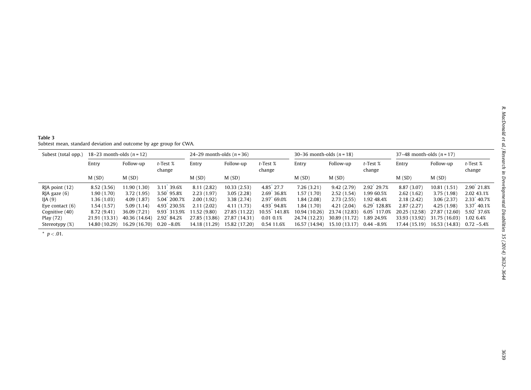| Table 3                                                            |
|--------------------------------------------------------------------|
| Subtest mean, standard deviation and outcome by age group for CWA. |

| 18–23 month-olds $(n = 12)$<br>Subest (total opp.) |               |               | 24–29 month-olds $(n = 36)$ |               |               | 30–36 month-olds $(n = 18)$ |               | 37–48 month-olds $(n = 17)$ |                       |               |               |                       |
|----------------------------------------------------|---------------|---------------|-----------------------------|---------------|---------------|-----------------------------|---------------|-----------------------------|-----------------------|---------------|---------------|-----------------------|
|                                                    | Entry         | Follow-up     | $t$ -Test $%$<br>change     | Entry         | Follow-up     | $t$ -Test %<br>change       | Entry         | Follow-up                   | $t$ -Test %<br>change | Entry         | Follow-up     | $t$ -Test %<br>change |
|                                                    | M(SD)         | M(SD)         |                             | M(SD)         | M(SD)         |                             | M(SD)         | M(SD)                       |                       | M(SD)         | M(SD)         |                       |
| $R[A \text{ point } (12)]$                         | 8.52(3.56)    | 11.90 (1.30)  | 3.11 39.6%                  | 8.11(2.82)    | 10.33(2.53)   | 4.85 27.7                   | 7.26(3.21)    | 9.42(2.79)                  | 2.92 29.7%            | 8.87 (3.07)   | 10.81 (1.51)  | 2.90 21.8%            |
| RJA gaze (6)                                       | 1.90(1.70)    | 3.72(1.95)    | 3.50 95.8%                  | 2.23(1.97)    | 3.05(2.28)    | 2.69 36.8%                  | 1.57(1.70)    | 2.52(1.54)                  | 1.99 60.5%            | 2.62(1.62)    | 3.75(1.98)    | 2.02 43.1%            |
| IJA $(9)$                                          | 1.36 (1.03)   | 4.09 (1.87)   | 5.04 200.7%                 | 2.00(1.92)    | 3.38(2.74)    | 2.97 69.0%                  | 1.84 (2.08)   | 2.73(2.55)                  | 1.92 48.4%            | 2.18(2.42)    | 3.06(2.37)    | 2.33 40.7%            |
| Eye contact $(6)$                                  | 1.54(1.57)    | 5.09(1.14)    | 4.93 230.5%                 | 2.11(2.02)    | 4.11(1.73)    | 4.93 94.8%                  | 1.84(1.70)    | 4.21(2.04)                  | 6.29 128.8%           | 2.87(2.27)    | 4.25(1.98)    | 3.37 40.1%            |
| Cognitive (40)                                     | 8.72(9.41)    | 36.09 (7.21)  | 9.93 313.9%                 | 11.52 (9.80)  | 27.85 (11.22) | 10.55 141.8%                | 10.94 (10.26) | 23.74 (12.83)               | 6.05 117.0%           | 20.25 (12.58) | 27.87 (12.60) | 5.92 37.6%            |
| Play $(72)$                                        | 21.91 (13.31) | 40.36 (14.64) | 2.92 84.2%                  | 27.85 (13.86) | 27.87 (14.31) | 0.01 0.1%                   | 24.74 (12.23) | 30.89 (11.72)               | 1.89 24.9%            | 33.93 (13.92) | 31.75 (16.03) | 1.02 6.4%             |
| Stereotypy (%)                                     | 14.80 (10.29) | 16.29 (16.70) | $0.20 - 8.0\%$              | 14.18 (11.29) | 15.82 (17.20) | 0.54 11.6%                  | 16.57 (14.94) | 15.10 (13.17)               | 0.44 -8.9%            | 17.44 (15.19) | 16.53 (14.83) | $0.72 - 5.4%$         |

 $p < .01$ .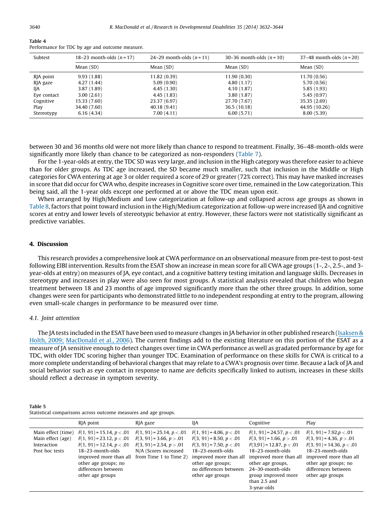$(18)$  37–48 month-olds (n = 20)

Table 4

|           | Performance for TDC by age and outcome measure. |                             |                             |              |  |  |  |  |  |
|-----------|-------------------------------------------------|-----------------------------|-----------------------------|--------------|--|--|--|--|--|
| Subtest   | 18–23 month-olds $(n = 17)$                     | 24–29 month-olds $(n = 11)$ | 30–36 month-olds $(n = 10)$ | 37-48 mont   |  |  |  |  |  |
|           | Mean (SD)                                       | Mean (SD)                   | Mean (SD)                   | Mean (SD)    |  |  |  |  |  |
| RJA point | 9.93(1.88)                                      | 11.82(0.39)                 | 11.90(0.30)                 | 11.70 (0.56) |  |  |  |  |  |
| RJA gaze  | 4.27 (1.44)                                     | 5.09(0.90)                  | 4.80(1.17)                  | 5.70(0.56)   |  |  |  |  |  |
| IJA       | 3.87(1.89)                                      | 4.45 (1.30)                 | 4.10 (1.87)                 | 5.85 (1.93)  |  |  |  |  |  |

between 30 and 36 months old were not more likely than chance to respond to treatment. Finally, 36–48-month-olds were significantly more likely than chance to be categorized as non-responders (Table 7).

Eye contact  $3.00 (2.61)$   $4.45 (1.83)$   $3.80 (1.87)$   $5.45 (0.97)$ Cognitive 15.33 (7.60) 23.37 (6.97) 27.70 (7.67) 35.35 (2.69) Play 34.40 (7.60) 40.18 (9.41) 36.5 (10.18) 44.95 (10.26) Stereotypy 6.16 (4.34) 7.00 (4.11) 6.00 (5.71) 8.00 (5.39)

For the 1-year-olds at entry, the TDC SD was very large, and inclusion in the High category was therefore easier to achieve than for older groups. As TDC age increased, the SD became much smaller, such that inclusion in the Middle or High categories for CWA entering at age 3 or older required a score of 29 or greater (72% correct). This may have masked increases in score that did occur for CWA who, despite increases in Cognitive score over time, remained in the Low categorization. This being said, all the 1-year olds except one performed at or above the TDC mean upon exit.

When arranged by High/Medium and Low categorization at follow-up and collapsed across age groups as shown in Table 8, factors that point toward inclusion in the High/Medium categorization at follow-up were increased IJA and cognitive scores at entry and lower levels of stereotypic behavior at entry. However, these factors were not statistically significant as predictive variables.

#### 4. Discussion

This research provides a comprehensive look at CWA performance on an observational measure from pre-test to post-test following EIBI intervention. Results from the ESAT show an increase in mean score for all CWA age groups (1-, 2-, 2.5-, and 3 year-olds at entry) on measures of JA, eye contact, and a cognitive battery testing imitation and language skills. Decreases in stereotypy and increases in play were also seen for most groups. A statistical analysis revealed that children who began treatment between 18 and 23 months of age improved significantly more than the other three groups. In addition, some changes were seen for participants who demonstrated little to no independent responding at entry to the program, allowing even small-scale changes in performance to be measured over time.

#### 4.1. Joint attention

The JA tests included in the ESAT have been used to measure changes in JA behavior in other published research ([Isaksen &](https://www.researchgate.net/publication/227797367_An_operant_approach_to_teaching_joint_attention_skills_to_children_with_autism?el=1_x_8&enrichId=rgreq-ebcc0b7de3d30117b44315a336efa908-XXX&enrichSource=Y292ZXJQYWdlOzI2NTg2MjcyMjtBUzoxNTY4OTMxMDg1MTQ4MTlAMTQxNDQxNzY0MDgzMw==) [Holth, 2009;](https://www.researchgate.net/publication/227797367_An_operant_approach_to_teaching_joint_attention_skills_to_children_with_autism?el=1_x_8&enrichId=rgreq-ebcc0b7de3d30117b44315a336efa908-XXX&enrichSource=Y292ZXJQYWdlOzI2NTg2MjcyMjtBUzoxNTY4OTMxMDg1MTQ4MTlAMTQxNDQxNzY0MDgzMw==) [MacDonald et al., 2006](https://www.researchgate.net/publication/7763638_Behavioral_assessment_of_joint_attention_A_methodological_report?el=1_x_8&enrichId=rgreq-ebcc0b7de3d30117b44315a336efa908-XXX&enrichSource=Y292ZXJQYWdlOzI2NTg2MjcyMjtBUzoxNTY4OTMxMDg1MTQ4MTlAMTQxNDQxNzY0MDgzMw==)). The current findings add to the existing literature on this portion of the ESAT as a measure of JA sensitive enough to detect changes over time in CWA performance as well as gradated performance by age for TDC, with older TDC scoring higher than younger TDC. Examination of performance on these skills for CWA is critical to a more complete understanding of behavioral changes that may relate to a CWA's prognosis over time. Because a lack of JA and social behavior such as eye contact in response to name are deficits specifically linked to autism, increases in these skills should reflect a decrease in symptom severity.

Table 5 Statistical comparisons across outcome measures and age groups.

|                                                                          | RJA point                                                                                                                                                                           | RJA gaze                                                                                                                                                           | IJA                                                                                                                                                                                                        | Cognitive                                                                                                                                                                                                                                 | Play                                                                                                                                                                                                          |
|--------------------------------------------------------------------------|-------------------------------------------------------------------------------------------------------------------------------------------------------------------------------------|--------------------------------------------------------------------------------------------------------------------------------------------------------------------|------------------------------------------------------------------------------------------------------------------------------------------------------------------------------------------------------------|-------------------------------------------------------------------------------------------------------------------------------------------------------------------------------------------------------------------------------------------|---------------------------------------------------------------------------------------------------------------------------------------------------------------------------------------------------------------|
| Main effect (time)<br>Main effect (age)<br>Interaction<br>Post hoc tests | $F(1, 91) = 15.14, p < 0.01$<br>$F(1, 91) = 23.12, p < 0.01$<br>$F(1, 91) = 12.14, p < 0.01$<br>18–23-month-olds<br>other age groups; no<br>differences between<br>other age groups | $F(1, 91) = 25.14, p < 0.01$<br>$F(3, 91) = 3.66, p > .01$<br>$F(3, 91) = 2.54, p > .01$<br>N/A (Scores increased<br>improved more than all from Time 1 to Time 2) | $F(1, 91) = 4.06, p < 0.01$<br>$F(3, 91) = 8.50, p < 0.01$<br>$F(3, 91) = 7.50, p < 0.01$<br>18-23-month-olds<br>improved more than all<br>other age groups;<br>no differences between<br>other age groups | $F(1, 91) = 24.57, p < 0.01$<br>$F(3, 91) = 1.66, p > .01$<br>$F(3,91) = 12.87, p < 0.01$<br>$18-23$ -month-olds<br>improved more than all<br>other age groups,<br>24-30-month-olds<br>group improved more<br>than 2.5 and<br>3-year-olds | $F(1, 91) = 7.92, p < 0.01$<br>$F(3, 91) = 4.36, p > .01$<br>$F(3, 91) = 14.36, p < 0.01$<br>$18-23$ -month-olds<br>improved more than all<br>other age groups; no<br>differences between<br>other age groups |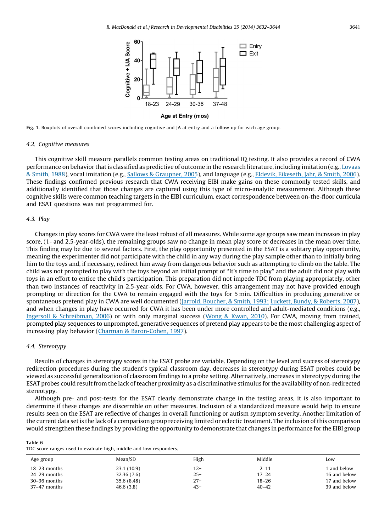

Fig. 1. Boxplots of overall combined scores including cognitive and JA at entry and a follow up for each age group.

#### 4.2. Cognitive measures

This cognitive skill measure parallels common testing areas on traditional IQ testing. It also provides a record of CWA performance on behavior that is classified as predictive of outcome in the research literature, including imitation (e.g., Lovaas & Smith, 1988), vocal imitation (e.g., [Sallows & Graupner, 2005](https://www.researchgate.net/publication/7554259_Intensive_Behavioral_Treatment_for_Children_With_Autism_Four-Year_Outcome_and_Predictors?el=1_x_8&enrichId=rgreq-ebcc0b7de3d30117b44315a336efa908-XXX&enrichSource=Y292ZXJQYWdlOzI2NTg2MjcyMjtBUzoxNTY4OTMxMDg1MTQ4MTlAMTQxNDQxNzY0MDgzMw==)), and language (e.g., [Eldevik, Eikeseth, Jahr, & Smith, 2006](https://www.researchgate.net/publication/7298530_Effects_of_Low-Intensity_Behavioral_Treatment_for_Children_with_Autism_and_Mental_Retardation?el=1_x_8&enrichId=rgreq-ebcc0b7de3d30117b44315a336efa908-XXX&enrichSource=Y292ZXJQYWdlOzI2NTg2MjcyMjtBUzoxNTY4OTMxMDg1MTQ4MTlAMTQxNDQxNzY0MDgzMw==)). These findings confirmed previous research that CWA receiving EIBI make gains on these commonly tested skills, and additionally identified that those changes are captured using this type of micro-analytic measurement. Although these cognitive skills were common teaching targets in the EIBI curriculum, exact correspondence between on-the-floor curricula and ESAT questions was not programmed for.

#### 4.3. Play

Changes in play scores for CWA were the least robust of all measures. While some age groups saw mean increases in play score, (1- and 2.5-year-olds), the remaining groups saw no change in mean play score or decreases in the mean over time. This finding may be due to several factors. First, the play opportunity presented in the ESAT is a solitary play opportunity, meaning the experimenter did not participate with the child in any way during the play sample other than to initially bring him to the toys and, if necessary, redirect him away from dangerous behavior such as attempting to climb on the table. The child was not prompted to play with the toys beyond an initial prompt of ''It's time to play'' and the adult did not play with toys in an effort to entice the child's participation. This preparation did not impede TDC from playing appropriately, other than two instances of reactivity in 2.5-year-olds. For CWA, however, this arrangement may not have provided enough prompting or direction for the CWA to remain engaged with the toys for 5 min. Difficulties in producing generative or spontaneous pretend play in CWA are well documented ([Jarrold, Boucher, & Smith, 1993;](https://www.researchgate.net/publication/15512410_Symbolic_Play_in_Autism_A_Review?el=1_x_8&enrichId=rgreq-ebcc0b7de3d30117b44315a336efa908-XXX&enrichSource=Y292ZXJQYWdlOzI2NTg2MjcyMjtBUzoxNTY4OTMxMDg1MTQ4MTlAMTQxNDQxNzY0MDgzMw==) [Luckett, Bundy, & Roberts, 2007](https://www.researchgate.net/publication/6183236_Do_behavioural_approaches_teach_children_with_autism_to_play_or_are_they_pretending?el=1_x_8&enrichId=rgreq-ebcc0b7de3d30117b44315a336efa908-XXX&enrichSource=Y292ZXJQYWdlOzI2NTg2MjcyMjtBUzoxNTY4OTMxMDg1MTQ4MTlAMTQxNDQxNzY0MDgzMw==)), and when changes in play have occurred for CWA it has been under more controlled and adult-mediated conditions (e.g., [Ingersoll & Schreibman, 2006](https://www.researchgate.net/publication/7211649_Teaching_Reciprocal_Imitation_Skills_to_Young_Children_with_Autism_Using_a_Naturalistic_Behavioral_Approach_Effects_on_Language_Pretend_Play_and_Joint_Attention?el=1_x_8&enrichId=rgreq-ebcc0b7de3d30117b44315a336efa908-XXX&enrichSource=Y292ZXJQYWdlOzI2NTg2MjcyMjtBUzoxNTY4OTMxMDg1MTQ4MTlAMTQxNDQxNzY0MDgzMw==)) or with only marginal success ([Wong & Kwan, 2010](https://www.researchgate.net/publication/40697611_Randomized_Controlled_Trial_for_Early_Intervention_for_Autism_A_Pilot_Study_of_the_Autism_1-2-3_Project?el=1_x_8&enrichId=rgreq-ebcc0b7de3d30117b44315a336efa908-XXX&enrichSource=Y292ZXJQYWdlOzI2NTg2MjcyMjtBUzoxNTY4OTMxMDg1MTQ4MTlAMTQxNDQxNzY0MDgzMw==)). For CWA, moving from trained, prompted play sequences to unprompted, generative sequences of pretend play appears to be the most challenging aspect of increasing play behavior ([Charman & Baron-Cohen, 1997](https://www.researchgate.net/publication/227135615_Brief_Report_Prompted_Pretend_Play_in_Autism?el=1_x_8&enrichId=rgreq-ebcc0b7de3d30117b44315a336efa908-XXX&enrichSource=Y292ZXJQYWdlOzI2NTg2MjcyMjtBUzoxNTY4OTMxMDg1MTQ4MTlAMTQxNDQxNzY0MDgzMw==)).

#### 4.4. Stereotypy

Results of changes in stereotypy scores in the ESAT probe are variable. Depending on the level and success of stereotypy redirection procedures during the student's typical classroom day, decreases in stereotypy during ESAT probes could be viewed as successful generalization of classroom findings to a probe setting. Alternatively, increases in stereotypy during the ESAT probes could result from the lack of teacher proximity as a discriminative stimulus for the availability of non-redirected stereotypy.

Although pre- and post-tests for the ESAT clearly demonstrate change in the testing areas, it is also important to determine if these changes are discernible on other measures. Inclusion of a standardized measure would help to ensure results seen on the ESAT are reflective of changes in overall functioning or autism symptom severity. Another limitation of the current data set is the lack of a comparison group receiving limited or eclectic treatment. The inclusion of this comparison would strengthen these findings by providing the opportunity to demonstrate that changes in performance for the EIBI group

#### Table 6

| TDC score ranges used to evaluate high, middle and low responders. |  |
|--------------------------------------------------------------------|--|
|--------------------------------------------------------------------|--|

| Age group      | Mean/SD     | High  | Middle    | Low          |
|----------------|-------------|-------|-----------|--------------|
| $18-23$ months | 23.1(10.9)  | 12+   | $2 - 11$  | and below    |
| $24-29$ months | 32.36(7.6)  | $25+$ | $17 - 24$ | 16 and below |
| $30-36$ months | 35.6 (8.48) | $27+$ | $18 - 26$ | 17 and below |
| 37–47 months   | 46.6(3.8)   | $43+$ | $40 - 42$ | 39 and below |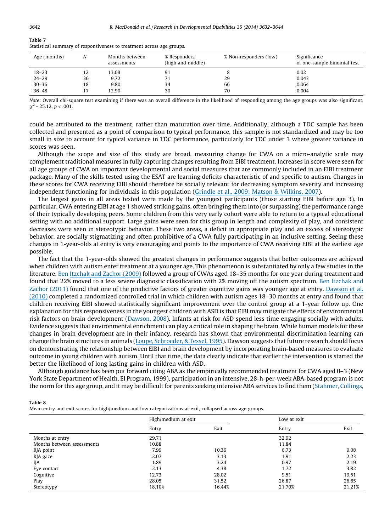#### Table 7

| Statistical summary of responsiveness to treatment across age groups. |  |  |  |
|-----------------------------------------------------------------------|--|--|--|
|-----------------------------------------------------------------------|--|--|--|

| Age (months) | Ν  | Months between<br>assessments | % Responders<br>(high and middle) | % Non-responders (low) | Significance<br>of one-sample binomial test |
|--------------|----|-------------------------------|-----------------------------------|------------------------|---------------------------------------------|
| $18 - 23$    | 12 | 13.08                         | 91                                |                        | 0.02                                        |
| $24 - 29$    | 36 | 9.72                          |                                   | 29                     | 0.043                                       |
| $30 - 36$    | 18 | 9.80                          | 34                                | 66                     | 0.064                                       |
| $36 - 48$    |    | 12.90                         | 30                                | 70                     | 0.004                                       |

Note: Overall chi-square test examining if there was an overall difference in the likelihood of responding among the age groups was also significant,  $\chi^2$  = 25.12,  $p < .001$ .

could be attributed to the treatment, rather than maturation over time. Additionally, although a TDC sample has been collected and presented as a point of comparison to typical performance, this sample is not standardized and may be too small in size to account for typical variance in TDC performance, particularly for TDC under 3 where greater variance in scores was seen.

Although the scope and size of this study are broad, measuring change for CWA on a micro-analytic scale may complement traditional measures in fully capturing changes resulting from EIBI treatment. Increases in score were seen for all age groups of CWA on important developmental and social measures that are commonly included in an EIBI treatment package. Many of the skills tested using the ESAT are learning deficits characteristic of and specific to autism. Changes in these scores for CWA receiving EIBI should therefore be socially relevant for decreasing symptom severity and increasing independent functioning for individuals in this population ([Grindle et al., 2009;](https://www.researchgate.net/publication/230753081_Integrating_evidence-based_behavioral_teaching_methods_into_education_for_children_with_autism?el=1_x_8&enrichId=rgreq-ebcc0b7de3d30117b44315a336efa908-XXX&enrichSource=Y292ZXJQYWdlOzI2NTg2MjcyMjtBUzoxNTY4OTMxMDg1MTQ4MTlAMTQxNDQxNzY0MDgzMw==) [Matson & Wilkins, 2007](https://www.researchgate.net/publication/246153778_A_critical_review_of_assessment_targets_and_methods_for_social_skills_excesses_and_deficits_for_children_with_autism_spectrum_disorders_Research_in_Autism_Spectrum_Disorders_1_28-37?el=1_x_8&enrichId=rgreq-ebcc0b7de3d30117b44315a336efa908-XXX&enrichSource=Y292ZXJQYWdlOzI2NTg2MjcyMjtBUzoxNTY4OTMxMDg1MTQ4MTlAMTQxNDQxNzY0MDgzMw==)).

The largest gains in all areas tested were made by the youngest participants (those starting EIBI before age 3). In particular, CWA entering EIBI at age 1 showed striking gains, often bringing them into (or surpassing) the performance range of their typically developing peers. Some children from this very early cohort were able to return to a typical educational setting with no additional support. Large gains were seen for this group in length and complexity of play, and consistent decreases were seen in stereotypic behavior. These two areas, a deficit in appropriate play and an excess of stereotypic behavior, are socially stigmatizing and often prohibitive of a CWA fully participating in an inclusive setting. Seeing these changes in 1-year-olds at entry is very encouraging and points to the importance of CWA receiving EIBI at the earliest age possible.

The fact that the 1-year-olds showed the greatest changes in performance suggests that better outcomes are achieved when children with autism enter treatment at a younger age. This phenomenon is substantiated by only a few studies in the literature. Ben [Itzchak and Zachor \(2009\)](https://www.researchgate.net/publication/229101513_Change_in_autism_classification_with_early_intervention_Predictors_and_outcomes?el=1_x_8&enrichId=rgreq-ebcc0b7de3d30117b44315a336efa908-XXX&enrichSource=Y292ZXJQYWdlOzI2NTg2MjcyMjtBUzoxNTY4OTMxMDg1MTQ4MTlAMTQxNDQxNzY0MDgzMw==) followed a group of CWAs aged 18–35 months for one year during treatment and found that 22% moved to a less severe diagnostic classification with 2% moving off the autism spectrum. Ben Itzchak and Zachor (2011) found that one of the predictive factors of greater cognitive gains was younger age at entry. [Dawson et al.](https://www.researchgate.net/publication/40041704_Randomized_Controlled_Trial_of_an_Intervention_for_Toddlers_With_Autism_The_Early_Start_Denver_Model?el=1_x_8&enrichId=rgreq-ebcc0b7de3d30117b44315a336efa908-XXX&enrichSource=Y292ZXJQYWdlOzI2NTg2MjcyMjtBUzoxNTY4OTMxMDg1MTQ4MTlAMTQxNDQxNzY0MDgzMw==) [\(2010\)](https://www.researchgate.net/publication/40041704_Randomized_Controlled_Trial_of_an_Intervention_for_Toddlers_With_Autism_The_Early_Start_Denver_Model?el=1_x_8&enrichId=rgreq-ebcc0b7de3d30117b44315a336efa908-XXX&enrichSource=Y292ZXJQYWdlOzI2NTg2MjcyMjtBUzoxNTY4OTMxMDg1MTQ4MTlAMTQxNDQxNzY0MDgzMw==) completed a randomized controlled trial in which children with autism ages 18–30 months at entry and found that children receiving EIBI showed statistically significant improvement over the control group at a 1-year follow up. One explanation for this responsiveness in the youngest children with ASD is that EIBI may mitigate the effects of environmental risk factors on brain development (Dawson, 2008). Infants at risk for ASD spend less time engaging socially with adults. Evidence suggests that environmental enrichment can play a critical role in shaping the brain. While human models for these changes in brain development are in their infancy, research has shown that environmental discrimination learning can change the brain structures in animals ([Loupe, Schroeder, & Tessel, 1995](https://www.researchgate.net/publication/15523034_FR_discrimination_training_effects_in_SHR_and_microencephalic_rats?el=1_x_8&enrichId=rgreq-ebcc0b7de3d30117b44315a336efa908-XXX&enrichSource=Y292ZXJQYWdlOzI2NTg2MjcyMjtBUzoxNTY4OTMxMDg1MTQ4MTlAMTQxNDQxNzY0MDgzMw==)). Dawson suggests that future research should focus on demonstrating the relationship between EIBI and brain development by incorporating brain-based measures to evaluate outcome in young children with autism. Until that time, the data clearly indicate that earlier the intervention is started the better the likelihood of long lasting gains in children with ASD.

Although guidance has been put forward citing ABA as the empirically recommended treatment for CWA aged 0–3 (New York State Department of Health, EI Program, 1999), participation in an intensive, 28-h-per-week ABA-based program is not the norm for this age group, and it may be difficult for parents seeking intensive ABA services to find them (Stahmer, Collings,

Table 8

Mean entry and exit scores for high/medium and low categorizations at exit, collapsed across age groups.

|                            | High/medium at exit |        | Low at exit |        |
|----------------------------|---------------------|--------|-------------|--------|
|                            | Entry               | Exit   | Entry       | Exit   |
| Months at entry            | 29.71               |        | 32.92       |        |
| Months between assessments | 10.88               |        | 11.84       |        |
| RJA point                  | 7.99                | 10.36  | 6.73        | 9.08   |
| RJA gaze                   | 2.07                | 3.13   | 1.91        | 2.23   |
| IJА                        | 1.89                | 3.24   | 0.97        | 2.19   |
| Eye contact                | 2.13                | 4.38   | 1.72        | 3.82   |
| Cognitive                  | 12.73               | 28.02  | 9.51        | 19.51  |
| Play                       | 28.05               | 31.52  | 26.87       | 26.65  |
| Stereotypy                 | 18.10%              | 16.44% | 21.70%      | 21.21% |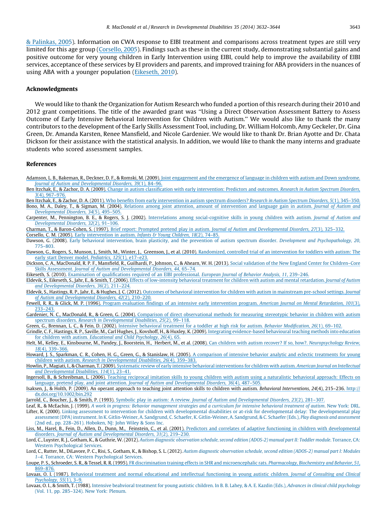[& Palinkas, 2005](https://www.researchgate.net/publication/7306342_Early_Intervention_Practices_for_Children_With_Autism_Descriptions_From_Community_Providers?el=1_x_8&enrichId=rgreq-ebcc0b7de3d30117b44315a336efa908-XXX&enrichSource=Y292ZXJQYWdlOzI2NTg2MjcyMjtBUzoxNTY4OTMxMDg1MTQ4MTlAMTQxNDQxNzY0MDgzMw==)). Information on CWA response to EIBI treatment and comparisons across treatment types are still very limited for this age group ([Corsello, 2005](https://www.researchgate.net/publication/280778053_Early_intervention_in_autism?el=1_x_8&enrichId=rgreq-ebcc0b7de3d30117b44315a336efa908-XXX&enrichSource=Y292ZXJQYWdlOzI2NTg2MjcyMjtBUzoxNTY4OTMxMDg1MTQ4MTlAMTQxNDQxNzY0MDgzMw==)). Findings such as these in the current study, demonstrating substantial gains and positive outcome for very young children in Early Intervention using EIBI, could help to improve the availability of EIBI services, acceptance of these services by EI providers and parents, and improved training for ABA providers in the nuances of using ABA with a younger population ([Eikeseth, 2010](https://www.researchgate.net/publication/268485790_Examination_of_Qualifications_Required_of_an_EIBI_Professional?el=1_x_8&enrichId=rgreq-ebcc0b7de3d30117b44315a336efa908-XXX&enrichSource=Y292ZXJQYWdlOzI2NTg2MjcyMjtBUzoxNTY4OTMxMDg1MTQ4MTlAMTQxNDQxNzY0MDgzMw==)).

#### Acknowledgments

We would like to thank the Organization for Autism Research who funded a portion of this research during their 2010 and 2012 grant competitions. The title of the awarded grant was ''Using a Direct Observation Assessment Battery to Assess Outcome of Early Intensive Behavioral Intervention for Children with Autism.'' We would also like to thank the many contributors to the development of the Early Skills Assessment Tool, including, Dr. William Holcomb, Amy Geckeler, Dr. Gina Green, Dr. Amanda Karsten, Renee Mansfield, and Nicole Gardenier. We would like to thank Dr. Brian Ayotte and Dr. Chata Dickson for their assistance with the statistical analysis. In addition, we would like to thank the many interns and graduate students who scored assessment samples.

#### References

- Adamson, L. B., Bakeman, R., Deckner, D. F., & Romski, M. (2009). [Joint](https://www.researchgate.net/publication/5273378_Joint_Engagement_and_the_Emergence_of_Language_in_Children_with_Autism_and_Down_Syndrome?el=1_x_8&enrichId=rgreq-ebcc0b7de3d30117b44315a336efa908-XXX&enrichSource=Y292ZXJQYWdlOzI2NTg2MjcyMjtBUzoxNTY4OTMxMDg1MTQ4MTlAMTQxNDQxNzY0MDgzMw==)[engagement](https://www.researchgate.net/publication/5273378_Joint_Engagement_and_the_Emergence_of_Language_in_Children_with_Autism_and_Down_Syndrome?el=1_x_8&enrichId=rgreq-ebcc0b7de3d30117b44315a336efa908-XXX&enrichSource=Y292ZXJQYWdlOzI2NTg2MjcyMjtBUzoxNTY4OTMxMDg1MTQ4MTlAMTQxNDQxNzY0MDgzMw==)[and](https://www.researchgate.net/publication/5273378_Joint_Engagement_and_the_Emergence_of_Language_in_Children_with_Autism_and_Down_Syndrome?el=1_x_8&enrichId=rgreq-ebcc0b7de3d30117b44315a336efa908-XXX&enrichSource=Y292ZXJQYWdlOzI2NTg2MjcyMjtBUzoxNTY4OTMxMDg1MTQ4MTlAMTQxNDQxNzY0MDgzMw==)[the](https://www.researchgate.net/publication/5273378_Joint_Engagement_and_the_Emergence_of_Language_in_Children_with_Autism_and_Down_Syndrome?el=1_x_8&enrichId=rgreq-ebcc0b7de3d30117b44315a336efa908-XXX&enrichSource=Y292ZXJQYWdlOzI2NTg2MjcyMjtBUzoxNTY4OTMxMDg1MTQ4MTlAMTQxNDQxNzY0MDgzMw==)[emergence](https://www.researchgate.net/publication/5273378_Joint_Engagement_and_the_Emergence_of_Language_in_Children_with_Autism_and_Down_Syndrome?el=1_x_8&enrichId=rgreq-ebcc0b7de3d30117b44315a336efa908-XXX&enrichSource=Y292ZXJQYWdlOzI2NTg2MjcyMjtBUzoxNTY4OTMxMDg1MTQ4MTlAMTQxNDQxNzY0MDgzMw==)[of](https://www.researchgate.net/publication/5273378_Joint_Engagement_and_the_Emergence_of_Language_in_Children_with_Autism_and_Down_Syndrome?el=1_x_8&enrichId=rgreq-ebcc0b7de3d30117b44315a336efa908-XXX&enrichSource=Y292ZXJQYWdlOzI2NTg2MjcyMjtBUzoxNTY4OTMxMDg1MTQ4MTlAMTQxNDQxNzY0MDgzMw==)[language](https://www.researchgate.net/publication/5273378_Joint_Engagement_and_the_Emergence_of_Language_in_Children_with_Autism_and_Down_Syndrome?el=1_x_8&enrichId=rgreq-ebcc0b7de3d30117b44315a336efa908-XXX&enrichSource=Y292ZXJQYWdlOzI2NTg2MjcyMjtBUzoxNTY4OTMxMDg1MTQ4MTlAMTQxNDQxNzY0MDgzMw==)[in](https://www.researchgate.net/publication/5273378_Joint_Engagement_and_the_Emergence_of_Language_in_Children_with_Autism_and_Down_Syndrome?el=1_x_8&enrichId=rgreq-ebcc0b7de3d30117b44315a336efa908-XXX&enrichSource=Y292ZXJQYWdlOzI2NTg2MjcyMjtBUzoxNTY4OTMxMDg1MTQ4MTlAMTQxNDQxNzY0MDgzMw==)[children](https://www.researchgate.net/publication/5273378_Joint_Engagement_and_the_Emergence_of_Language_in_Children_with_Autism_and_Down_Syndrome?el=1_x_8&enrichId=rgreq-ebcc0b7de3d30117b44315a336efa908-XXX&enrichSource=Y292ZXJQYWdlOzI2NTg2MjcyMjtBUzoxNTY4OTMxMDg1MTQ4MTlAMTQxNDQxNzY0MDgzMw==)[with](https://www.researchgate.net/publication/5273378_Joint_Engagement_and_the_Emergence_of_Language_in_Children_with_Autism_and_Down_Syndrome?el=1_x_8&enrichId=rgreq-ebcc0b7de3d30117b44315a336efa908-XXX&enrichSource=Y292ZXJQYWdlOzI2NTg2MjcyMjtBUzoxNTY4OTMxMDg1MTQ4MTlAMTQxNDQxNzY0MDgzMw==)[autism](https://www.researchgate.net/publication/5273378_Joint_Engagement_and_the_Emergence_of_Language_in_Children_with_Autism_and_Down_Syndrome?el=1_x_8&enrichId=rgreq-ebcc0b7de3d30117b44315a336efa908-XXX&enrichSource=Y292ZXJQYWdlOzI2NTg2MjcyMjtBUzoxNTY4OTMxMDg1MTQ4MTlAMTQxNDQxNzY0MDgzMw==)[and](https://www.researchgate.net/publication/5273378_Joint_Engagement_and_the_Emergence_of_Language_in_Children_with_Autism_and_Down_Syndrome?el=1_x_8&enrichId=rgreq-ebcc0b7de3d30117b44315a336efa908-XXX&enrichSource=Y292ZXJQYWdlOzI2NTg2MjcyMjtBUzoxNTY4OTMxMDg1MTQ4MTlAMTQxNDQxNzY0MDgzMw==)[Down](https://www.researchgate.net/publication/5273378_Joint_Engagement_and_the_Emergence_of_Language_in_Children_with_Autism_and_Down_Syndrome?el=1_x_8&enrichId=rgreq-ebcc0b7de3d30117b44315a336efa908-XXX&enrichSource=Y292ZXJQYWdlOzI2NTg2MjcyMjtBUzoxNTY4OTMxMDg1MTQ4MTlAMTQxNDQxNzY0MDgzMw==)[syndrome.](https://www.researchgate.net/publication/5273378_Joint_Engagement_and_the_Emergence_of_Language_in_Children_with_Autism_and_Down_Syndrome?el=1_x_8&enrichId=rgreq-ebcc0b7de3d30117b44315a336efa908-XXX&enrichSource=Y292ZXJQYWdlOzI2NTg2MjcyMjtBUzoxNTY4OTMxMDg1MTQ4MTlAMTQxNDQxNzY0MDgzMw==) [Journal](https://www.researchgate.net/publication/5273378_Joint_Engagement_and_the_Emergence_of_Language_in_Children_with_Autism_and_Down_Syndrome?el=1_x_8&enrichId=rgreq-ebcc0b7de3d30117b44315a336efa908-XXX&enrichSource=Y292ZXJQYWdlOzI2NTg2MjcyMjtBUzoxNTY4OTMxMDg1MTQ4MTlAMTQxNDQxNzY0MDgzMw==)[of](https://www.researchgate.net/publication/5273378_Joint_Engagement_and_the_Emergence_of_Language_in_Children_with_Autism_and_Down_Syndrome?el=1_x_8&enrichId=rgreq-ebcc0b7de3d30117b44315a336efa908-XXX&enrichSource=Y292ZXJQYWdlOzI2NTg2MjcyMjtBUzoxNTY4OTMxMDg1MTQ4MTlAMTQxNDQxNzY0MDgzMw==)[Autism](https://www.researchgate.net/publication/5273378_Joint_Engagement_and_the_Emergence_of_Language_in_Children_with_Autism_and_Down_Syndrome?el=1_x_8&enrichId=rgreq-ebcc0b7de3d30117b44315a336efa908-XXX&enrichSource=Y292ZXJQYWdlOzI2NTg2MjcyMjtBUzoxNTY4OTMxMDg1MTQ4MTlAMTQxNDQxNzY0MDgzMw==)[and](https://www.researchgate.net/publication/5273378_Joint_Engagement_and_the_Emergence_of_Language_in_Children_with_Autism_and_Down_Syndrome?el=1_x_8&enrichId=rgreq-ebcc0b7de3d30117b44315a336efa908-XXX&enrichSource=Y292ZXJQYWdlOzI2NTg2MjcyMjtBUzoxNTY4OTMxMDg1MTQ4MTlAMTQxNDQxNzY0MDgzMw==)[Developmental](https://www.researchgate.net/publication/5273378_Joint_Engagement_and_the_Emergence_of_Language_in_Children_with_Autism_and_Down_Syndrome?el=1_x_8&enrichId=rgreq-ebcc0b7de3d30117b44315a336efa908-XXX&enrichSource=Y292ZXJQYWdlOzI2NTg2MjcyMjtBUzoxNTY4OTMxMDg1MTQ4MTlAMTQxNDQxNzY0MDgzMw==)[Disorders,](https://www.researchgate.net/publication/5273378_Joint_Engagement_and_the_Emergence_of_Language_in_Children_with_Autism_and_Down_Syndrome?el=1_x_8&enrichId=rgreq-ebcc0b7de3d30117b44315a336efa908-XXX&enrichSource=Y292ZXJQYWdlOzI2NTg2MjcyMjtBUzoxNTY4OTMxMDg1MTQ4MTlAMTQxNDQxNzY0MDgzMw==)[39](https://www.researchgate.net/publication/5273378_Joint_Engagement_and_the_Emergence_of_Language_in_Children_with_Autism_and_Down_Syndrome?el=1_x_8&enrichId=rgreq-ebcc0b7de3d30117b44315a336efa908-XXX&enrichSource=Y292ZXJQYWdlOzI2NTg2MjcyMjtBUzoxNTY4OTMxMDg1MTQ4MTlAMTQxNDQxNzY0MDgzMw==)(1), 84–96.
- Ben Itzchak, E., & Zachor, D. A. (2009). [Change](https://www.researchgate.net/publication/229101513_Change_in_autism_classification_with_early_intervention_Predictors_and_outcomes?el=1_x_8&enrichId=rgreq-ebcc0b7de3d30117b44315a336efa908-XXX&enrichSource=Y292ZXJQYWdlOzI2NTg2MjcyMjtBUzoxNTY4OTMxMDg1MTQ4MTlAMTQxNDQxNzY0MDgzMw==)[in](https://www.researchgate.net/publication/229101513_Change_in_autism_classification_with_early_intervention_Predictors_and_outcomes?el=1_x_8&enrichId=rgreq-ebcc0b7de3d30117b44315a336efa908-XXX&enrichSource=Y292ZXJQYWdlOzI2NTg2MjcyMjtBUzoxNTY4OTMxMDg1MTQ4MTlAMTQxNDQxNzY0MDgzMw==) [autism](https://www.researchgate.net/publication/229101513_Change_in_autism_classification_with_early_intervention_Predictors_and_outcomes?el=1_x_8&enrichId=rgreq-ebcc0b7de3d30117b44315a336efa908-XXX&enrichSource=Y292ZXJQYWdlOzI2NTg2MjcyMjtBUzoxNTY4OTMxMDg1MTQ4MTlAMTQxNDQxNzY0MDgzMw==) [classification](https://www.researchgate.net/publication/229101513_Change_in_autism_classification_with_early_intervention_Predictors_and_outcomes?el=1_x_8&enrichId=rgreq-ebcc0b7de3d30117b44315a336efa908-XXX&enrichSource=Y292ZXJQYWdlOzI2NTg2MjcyMjtBUzoxNTY4OTMxMDg1MTQ4MTlAMTQxNDQxNzY0MDgzMw==) [with](https://www.researchgate.net/publication/229101513_Change_in_autism_classification_with_early_intervention_Predictors_and_outcomes?el=1_x_8&enrichId=rgreq-ebcc0b7de3d30117b44315a336efa908-XXX&enrichSource=Y292ZXJQYWdlOzI2NTg2MjcyMjtBUzoxNTY4OTMxMDg1MTQ4MTlAMTQxNDQxNzY0MDgzMw==) [early](https://www.researchgate.net/publication/229101513_Change_in_autism_classification_with_early_intervention_Predictors_and_outcomes?el=1_x_8&enrichId=rgreq-ebcc0b7de3d30117b44315a336efa908-XXX&enrichSource=Y292ZXJQYWdlOzI2NTg2MjcyMjtBUzoxNTY4OTMxMDg1MTQ4MTlAMTQxNDQxNzY0MDgzMw==) [intervention:](https://www.researchgate.net/publication/229101513_Change_in_autism_classification_with_early_intervention_Predictors_and_outcomes?el=1_x_8&enrichId=rgreq-ebcc0b7de3d30117b44315a336efa908-XXX&enrichSource=Y292ZXJQYWdlOzI2NTg2MjcyMjtBUzoxNTY4OTMxMDg1MTQ4MTlAMTQxNDQxNzY0MDgzMw==) [Predictors](https://www.researchgate.net/publication/229101513_Change_in_autism_classification_with_early_intervention_Predictors_and_outcomes?el=1_x_8&enrichId=rgreq-ebcc0b7de3d30117b44315a336efa908-XXX&enrichSource=Y292ZXJQYWdlOzI2NTg2MjcyMjtBUzoxNTY4OTMxMDg1MTQ4MTlAMTQxNDQxNzY0MDgzMw==) [and](https://www.researchgate.net/publication/229101513_Change_in_autism_classification_with_early_intervention_Predictors_and_outcomes?el=1_x_8&enrichId=rgreq-ebcc0b7de3d30117b44315a336efa908-XXX&enrichSource=Y292ZXJQYWdlOzI2NTg2MjcyMjtBUzoxNTY4OTMxMDg1MTQ4MTlAMTQxNDQxNzY0MDgzMw==) [outcomes.](https://www.researchgate.net/publication/229101513_Change_in_autism_classification_with_early_intervention_Predictors_and_outcomes?el=1_x_8&enrichId=rgreq-ebcc0b7de3d30117b44315a336efa908-XXX&enrichSource=Y292ZXJQYWdlOzI2NTg2MjcyMjtBUzoxNTY4OTMxMDg1MTQ4MTlAMTQxNDQxNzY0MDgzMw==) Research in Autism Spectrum Disorders, 3[\(4\),](https://www.researchgate.net/publication/229101513_Change_in_autism_classification_with_early_intervention_Predictors_and_outcomes?el=1_x_8&enrichId=rgreq-ebcc0b7de3d30117b44315a336efa908-XXX&enrichSource=Y292ZXJQYWdlOzI2NTg2MjcyMjtBUzoxNTY4OTMxMDg1MTQ4MTlAMTQxNDQxNzY0MDgzMw==)[967–976.](https://www.researchgate.net/publication/229101513_Change_in_autism_classification_with_early_intervention_Predictors_and_outcomes?el=1_x_8&enrichId=rgreq-ebcc0b7de3d30117b44315a336efa908-XXX&enrichSource=Y292ZXJQYWdlOzI2NTg2MjcyMjtBUzoxNTY4OTMxMDg1MTQ4MTlAMTQxNDQxNzY0MDgzMw==)
- Ben Itzchak, E., & Zachor, D. A. (2011). [Who](https://www.researchgate.net/publication/229410038_Who_benefits_from_early_intervention_in_autism_spectrum_disorders?el=1_x_8&enrichId=rgreq-ebcc0b7de3d30117b44315a336efa908-XXX&enrichSource=Y292ZXJQYWdlOzI2NTg2MjcyMjtBUzoxNTY4OTMxMDg1MTQ4MTlAMTQxNDQxNzY0MDgzMw==)[benefits](https://www.researchgate.net/publication/229410038_Who_benefits_from_early_intervention_in_autism_spectrum_disorders?el=1_x_8&enrichId=rgreq-ebcc0b7de3d30117b44315a336efa908-XXX&enrichSource=Y292ZXJQYWdlOzI2NTg2MjcyMjtBUzoxNTY4OTMxMDg1MTQ4MTlAMTQxNDQxNzY0MDgzMw==) [from](https://www.researchgate.net/publication/229410038_Who_benefits_from_early_intervention_in_autism_spectrum_disorders?el=1_x_8&enrichId=rgreq-ebcc0b7de3d30117b44315a336efa908-XXX&enrichSource=Y292ZXJQYWdlOzI2NTg2MjcyMjtBUzoxNTY4OTMxMDg1MTQ4MTlAMTQxNDQxNzY0MDgzMw==) [early](https://www.researchgate.net/publication/229410038_Who_benefits_from_early_intervention_in_autism_spectrum_disorders?el=1_x_8&enrichId=rgreq-ebcc0b7de3d30117b44315a336efa908-XXX&enrichSource=Y292ZXJQYWdlOzI2NTg2MjcyMjtBUzoxNTY4OTMxMDg1MTQ4MTlAMTQxNDQxNzY0MDgzMw==) [intervention](https://www.researchgate.net/publication/229410038_Who_benefits_from_early_intervention_in_autism_spectrum_disorders?el=1_x_8&enrichId=rgreq-ebcc0b7de3d30117b44315a336efa908-XXX&enrichSource=Y292ZXJQYWdlOzI2NTg2MjcyMjtBUzoxNTY4OTMxMDg1MTQ4MTlAMTQxNDQxNzY0MDgzMw==) [in](https://www.researchgate.net/publication/229410038_Who_benefits_from_early_intervention_in_autism_spectrum_disorders?el=1_x_8&enrichId=rgreq-ebcc0b7de3d30117b44315a336efa908-XXX&enrichSource=Y292ZXJQYWdlOzI2NTg2MjcyMjtBUzoxNTY4OTMxMDg1MTQ4MTlAMTQxNDQxNzY0MDgzMw==) [autism](https://www.researchgate.net/publication/229410038_Who_benefits_from_early_intervention_in_autism_spectrum_disorders?el=1_x_8&enrichId=rgreq-ebcc0b7de3d30117b44315a336efa908-XXX&enrichSource=Y292ZXJQYWdlOzI2NTg2MjcyMjtBUzoxNTY4OTMxMDg1MTQ4MTlAMTQxNDQxNzY0MDgzMw==) [spectrum](https://www.researchgate.net/publication/229410038_Who_benefits_from_early_intervention_in_autism_spectrum_disorders?el=1_x_8&enrichId=rgreq-ebcc0b7de3d30117b44315a336efa908-XXX&enrichSource=Y292ZXJQYWdlOzI2NTg2MjcyMjtBUzoxNTY4OTMxMDg1MTQ4MTlAMTQxNDQxNzY0MDgzMw==) [disorders?](https://www.researchgate.net/publication/229410038_Who_benefits_from_early_intervention_in_autism_spectrum_disorders?el=1_x_8&enrichId=rgreq-ebcc0b7de3d30117b44315a336efa908-XXX&enrichSource=Y292ZXJQYWdlOzI2NTg2MjcyMjtBUzoxNTY4OTMxMDg1MTQ4MTlAMTQxNDQxNzY0MDgzMw==) Research in Autism Spectrum Disorders, 5(1), 345-350. Bono, M. A., Daley, T., & Sigman, M. (2004). [Relations](https://www.researchgate.net/publication/8101590_Relations_Among_Joint_Attention_Amount_of_Intervention_and_Language_Gain_in_Autism?el=1_x_8&enrichId=rgreq-ebcc0b7de3d30117b44315a336efa908-XXX&enrichSource=Y292ZXJQYWdlOzI2NTg2MjcyMjtBUzoxNTY4OTMxMDg1MTQ4MTlAMTQxNDQxNzY0MDgzMw==)[among](https://www.researchgate.net/publication/8101590_Relations_Among_Joint_Attention_Amount_of_Intervention_and_Language_Gain_in_Autism?el=1_x_8&enrichId=rgreq-ebcc0b7de3d30117b44315a336efa908-XXX&enrichSource=Y292ZXJQYWdlOzI2NTg2MjcyMjtBUzoxNTY4OTMxMDg1MTQ4MTlAMTQxNDQxNzY0MDgzMw==)[joint](https://www.researchgate.net/publication/8101590_Relations_Among_Joint_Attention_Amount_of_Intervention_and_Language_Gain_in_Autism?el=1_x_8&enrichId=rgreq-ebcc0b7de3d30117b44315a336efa908-XXX&enrichSource=Y292ZXJQYWdlOzI2NTg2MjcyMjtBUzoxNTY4OTMxMDg1MTQ4MTlAMTQxNDQxNzY0MDgzMw==)[attention,](https://www.researchgate.net/publication/8101590_Relations_Among_Joint_Attention_Amount_of_Intervention_and_Language_Gain_in_Autism?el=1_x_8&enrichId=rgreq-ebcc0b7de3d30117b44315a336efa908-XXX&enrichSource=Y292ZXJQYWdlOzI2NTg2MjcyMjtBUzoxNTY4OTMxMDg1MTQ4MTlAMTQxNDQxNzY0MDgzMw==)[amount](https://www.researchgate.net/publication/8101590_Relations_Among_Joint_Attention_Amount_of_Intervention_and_Language_Gain_in_Autism?el=1_x_8&enrichId=rgreq-ebcc0b7de3d30117b44315a336efa908-XXX&enrichSource=Y292ZXJQYWdlOzI2NTg2MjcyMjtBUzoxNTY4OTMxMDg1MTQ4MTlAMTQxNDQxNzY0MDgzMw==)[of](https://www.researchgate.net/publication/8101590_Relations_Among_Joint_Attention_Amount_of_Intervention_and_Language_Gain_in_Autism?el=1_x_8&enrichId=rgreq-ebcc0b7de3d30117b44315a336efa908-XXX&enrichSource=Y292ZXJQYWdlOzI2NTg2MjcyMjtBUzoxNTY4OTMxMDg1MTQ4MTlAMTQxNDQxNzY0MDgzMw==)[intervention](https://www.researchgate.net/publication/8101590_Relations_Among_Joint_Attention_Amount_of_Intervention_and_Language_Gain_in_Autism?el=1_x_8&enrichId=rgreq-ebcc0b7de3d30117b44315a336efa908-XXX&enrichSource=Y292ZXJQYWdlOzI2NTg2MjcyMjtBUzoxNTY4OTMxMDg1MTQ4MTlAMTQxNDQxNzY0MDgzMw==)[and](https://www.researchgate.net/publication/8101590_Relations_Among_Joint_Attention_Amount_of_Intervention_and_Language_Gain_in_Autism?el=1_x_8&enrichId=rgreq-ebcc0b7de3d30117b44315a336efa908-XXX&enrichSource=Y292ZXJQYWdlOzI2NTg2MjcyMjtBUzoxNTY4OTMxMDg1MTQ4MTlAMTQxNDQxNzY0MDgzMw==)[language](https://www.researchgate.net/publication/8101590_Relations_Among_Joint_Attention_Amount_of_Intervention_and_Language_Gain_in_Autism?el=1_x_8&enrichId=rgreq-ebcc0b7de3d30117b44315a336efa908-XXX&enrichSource=Y292ZXJQYWdlOzI2NTg2MjcyMjtBUzoxNTY4OTMxMDg1MTQ4MTlAMTQxNDQxNzY0MDgzMw==)[gain](https://www.researchgate.net/publication/8101590_Relations_Among_Joint_Attention_Amount_of_Intervention_and_Language_Gain_in_Autism?el=1_x_8&enrichId=rgreq-ebcc0b7de3d30117b44315a336efa908-XXX&enrichSource=Y292ZXJQYWdlOzI2NTg2MjcyMjtBUzoxNTY4OTMxMDg1MTQ4MTlAMTQxNDQxNzY0MDgzMw==)[in](https://www.researchgate.net/publication/8101590_Relations_Among_Joint_Attention_Amount_of_Intervention_and_Language_Gain_in_Autism?el=1_x_8&enrichId=rgreq-ebcc0b7de3d30117b44315a336efa908-XXX&enrichSource=Y292ZXJQYWdlOzI2NTg2MjcyMjtBUzoxNTY4OTMxMDg1MTQ4MTlAMTQxNDQxNzY0MDgzMw==)[autism.](https://www.researchgate.net/publication/8101590_Relations_Among_Joint_Attention_Amount_of_Intervention_and_Language_Gain_in_Autism?el=1_x_8&enrichId=rgreq-ebcc0b7de3d30117b44315a336efa908-XXX&enrichSource=Y292ZXJQYWdlOzI2NTg2MjcyMjtBUzoxNTY4OTMxMDg1MTQ4MTlAMTQxNDQxNzY0MDgzMw==) Journal of Autism and [Developmental Disorders, 34](http://refhub.elsevier.com/S0891-4222(14)00389-8/sbref0020)(5), 495–505.

Carpenter, M., Pennington, B. E., & Rogers, S. J. (2002). [Interrelations among social-cognitive skills in young children with autism.](http://refhub.elsevier.com/S0891-4222(14)00389-8/sbref0025) Journal of Autism and [Developmental Disorders, 32](http://refhub.elsevier.com/S0891-4222(14)00389-8/sbref0025)(2), 91–106.

Charman, T., & Baron-Cohen, S. (1997). Brief report: Prompted pretend play in autism. [Journal of Autism and Developmental Disorders, 27](http://refhub.elsevier.com/S0891-4222(14)00389-8/sbref0030)(3), 325–332.

Corsello, C. M. (2005). [Early intervention in autism.](http://refhub.elsevier.com/S0891-4222(14)00389-8/sbref0035) Infants & Young Children, 18(2), 74-85.

Dawson, G. (2008). [Early behavioral intervention, brain plasticity, and the prevention of autism spectrum disorder.](http://refhub.elsevier.com/S0891-4222(14)00389-8/sbref0040) Development and Psychopathology, 20, [775–803.](http://refhub.elsevier.com/S0891-4222(14)00389-8/sbref0040)

[Dawson, G., Rogers, S., Munson, J., Smith, M., Winter, J., Greenson, J., et al. \(2010\).](https://www.researchgate.net/publication/40041704_Randomized_Controlled_Trial_of_an_Intervention_for_Toddlers_With_Autism_The_Early_Start_Denver_Model?el=1_x_8&enrichId=rgreq-ebcc0b7de3d30117b44315a336efa908-XXX&enrichSource=Y292ZXJQYWdlOzI2NTg2MjcyMjtBUzoxNTY4OTMxMDg1MTQ4MTlAMTQxNDQxNzY0MDgzMw==) [Randomized, controlled trial of an intervention for toddlers with autism: The](http://refhub.elsevier.com/S0891-4222(14)00389-8/sbref0045) [early start Denver model.](http://refhub.elsevier.com/S0891-4222(14)00389-8/sbref0045) Pediatrics, 125(1), e17–e23.

[Dickson, C. A., MacDonald, R. P. F., Mansfield, R., Guilhardi, P., Johnson, C., & Ahearn, W. H. \(2013\).](https://www.researchgate.net/publication/236968053_Social_validation_of_the_New_England_Center_For_Children--Core_Skills_Assessment?el=1_x_8&enrichId=rgreq-ebcc0b7de3d30117b44315a336efa908-XXX&enrichSource=Y292ZXJQYWdlOzI2NTg2MjcyMjtBUzoxNTY4OTMxMDg1MTQ4MTlAMTQxNDQxNzY0MDgzMw==) [Social validation of the New England Center for Children–Core](http://refhub.elsevier.com/S0891-4222(14)00389-8/sbref0050) Skills Assessment. [Journal of Autism and Developmental Disorders, 44](http://refhub.elsevier.com/S0891-4222(14)00389-8/sbref0050), 65–74.

Eikeseth, S. (2010). [Examination of qualifications required of an EIBI professional.](http://refhub.elsevier.com/S0891-4222(14)00389-8/sbref0055) European Journal of Behavior Analysis, 11, 239–246.

Eldevik, S., Eikeseth, S., Jahr, E., & Smith, T. (2006). [Effects of low-intensity behavioral treatment for children with autism and mental retardation.](http://refhub.elsevier.com/S0891-4222(14)00389-8/sbref0060) Journal of Autism [and Developmental Disorders, 36](http://refhub.elsevier.com/S0891-4222(14)00389-8/sbref0060)(2), 211–224.

Eldevik, S., Hastings, R. P., Jahr, E., & Hughes, J. C. (2012). [O](https://www.researchgate.net/publication/51031637_Outcomes_of_Behavioral_Intervention_for_Children_with_Autism_in_Mainstream_Pre-School_Settings?el=1_x_8&enrichId=rgreq-ebcc0b7de3d30117b44315a336efa908-XXX&enrichSource=Y292ZXJQYWdlOzI2NTg2MjcyMjtBUzoxNTY4OTMxMDg1MTQ4MTlAMTQxNDQxNzY0MDgzMw==)[utcomes of behavioral intervention for children with autism in mainstream pre-school settings.](http://refhub.elsevier.com/S0891-4222(14)00389-8/sbref0065) Journal [of Autism and Developmental Disorders, 42](http://refhub.elsevier.com/S0891-4222(14)00389-8/sbref0065)(2), 210–220.

- Fewell, R. R., & Glick, M. [P](https://www.researchgate.net/publication/14273077_Program_evaluation_findings_of_an_intensive_early_intervention_program?el=1_x_8&enrichId=rgreq-ebcc0b7de3d30117b44315a336efa908-XXX&enrichSource=Y292ZXJQYWdlOzI2NTg2MjcyMjtBUzoxNTY4OTMxMDg1MTQ4MTlAMTQxNDQxNzY0MDgzMw==). (1996). P[rogram evaluation findings of an intensive early intervention program.](http://refhub.elsevier.com/S0891-4222(14)00389-8/sbref0070) American Journal on Mental Retardation, 101(3), [233–243](http://refhub.elsevier.com/S0891-4222(14)00389-8/sbref0070)[.](https://www.researchgate.net/publication/14273077_Program_evaluation_findings_of_an_intensive_early_intervention_program?el=1_x_8&enrichId=rgreq-ebcc0b7de3d30117b44315a336efa908-XXX&enrichSource=Y292ZXJQYWdlOzI2NTg2MjcyMjtBUzoxNTY4OTMxMDg1MTQ4MTlAMTQxNDQxNzY0MDgzMw==)
- Gardenier, N. C., MacDonald, R., & Green, G. (2004). [Comparison of direct observational methods for measuring stereotypic behavior in children with autism](http://refhub.elsevier.com/S0891-4222(14)00389-8/sbref0075) spectrum disorders. [Research in Developmental Disabilities, 25](http://refhub.elsevier.com/S0891-4222(14)00389-8/sbref0075)(2), 99–118.
- Green, G., Brennan, L. C., & Fein, D. (2002). [I](https://www.researchgate.net/publication/11558603_Intensive_Behavioral_Treatment_for_a_Toddler_at_High_Risk_for_Autism?el=1_x_8&enrichId=rgreq-ebcc0b7de3d30117b44315a336efa908-XXX&enrichSource=Y292ZXJQYWdlOzI2NTg2MjcyMjtBUzoxNTY4OTMxMDg1MTQ4MTlAMTQxNDQxNzY0MDgzMw==)[ntensive behavioral treatment for a toddler at high risk for autism.](http://refhub.elsevier.com/S0891-4222(14)00389-8/sbref0080) Behavior Modification, 26(1), 69–102.
- [Grindle, C. F., Hastings, R. P., Saville, M., Carl Hughes, J., Kovshoff, H., & Huxley, K. \(2009\).](https://www.researchgate.net/publication/230753081_Integrating_evidence-based_behavioral_teaching_methods_into_education_for_children_with_autism?el=1_x_8&enrichId=rgreq-ebcc0b7de3d30117b44315a336efa908-XXX&enrichSource=Y292ZXJQYWdlOzI2NTg2MjcyMjtBUzoxNTY4OTMxMDg1MTQ4MTlAMTQxNDQxNzY0MDgzMw==) [Integrating evidence-based behavioural teaching methods into education](http://refhub.elsevier.com/S0891-4222(14)00389-8/sbref0085) for children with autism. [Educational and Child Psychology, 26](http://refhub.elsevier.com/S0891-4222(14)00389-8/sbref0085)(4), 65.
- [Helt, M., Kelley, E., Kinsbourne, M., Pandey, J., Boorstein, H., Herbert, M., et al. \(2008\).](https://www.researchgate.net/publication/23473696_Can_Children_with_Autism_Recover_If_So_How?el=1_x_8&enrichId=rgreq-ebcc0b7de3d30117b44315a336efa908-XXX&enrichSource=Y292ZXJQYWdlOzI2NTg2MjcyMjtBUzoxNTY4OTMxMDg1MTQ4MTlAMTQxNDQxNzY0MDgzMw==) [Can children with autism recover? If so, how?.](http://refhub.elsevier.com/S0891-4222(14)00389-8/sbref0090) Neuropsychology Review, 18[\(4\), 339–366](http://refhub.elsevier.com/S0891-4222(14)00389-8/sbref0090)[.](https://www.researchgate.net/publication/23473696_Can_Children_with_Autism_Recover_If_So_How?el=1_x_8&enrichId=rgreq-ebcc0b7de3d30117b44315a336efa908-XXX&enrichSource=Y292ZXJQYWdlOzI2NTg2MjcyMjtBUzoxNTY4OTMxMDg1MTQ4MTlAMTQxNDQxNzY0MDgzMw==)
- Howard, J. S., Sparkman, C. R., Cohen, H. G., Green, G., & Stanislaw, H. (2005). [A](https://www.researchgate.net/publication/7967274_A_comparison_of_intensive_behavior_analytic_and_eclectic_treatments_for_young_children_with_autism_Research_in_Developmental_Disabilities_264_359-383?el=1_x_8&enrichId=rgreq-ebcc0b7de3d30117b44315a336efa908-XXX&enrichSource=Y292ZXJQYWdlOzI2NTg2MjcyMjtBUzoxNTY4OTMxMDg1MTQ4MTlAMTQxNDQxNzY0MDgzMw==)[comparison](https://www.researchgate.net/publication/7967274_A_comparison_of_intensive_behavior_analytic_and_eclectic_treatments_for_young_children_with_autism_Research_in_Developmental_Disabilities_264_359-383?el=1_x_8&enrichId=rgreq-ebcc0b7de3d30117b44315a336efa908-XXX&enrichSource=Y292ZXJQYWdlOzI2NTg2MjcyMjtBUzoxNTY4OTMxMDg1MTQ4MTlAMTQxNDQxNzY0MDgzMw==)[of](https://www.researchgate.net/publication/7967274_A_comparison_of_intensive_behavior_analytic_and_eclectic_treatments_for_young_children_with_autism_Research_in_Developmental_Disabilities_264_359-383?el=1_x_8&enrichId=rgreq-ebcc0b7de3d30117b44315a336efa908-XXX&enrichSource=Y292ZXJQYWdlOzI2NTg2MjcyMjtBUzoxNTY4OTMxMDg1MTQ4MTlAMTQxNDQxNzY0MDgzMw==)[intensive](https://www.researchgate.net/publication/7967274_A_comparison_of_intensive_behavior_analytic_and_eclectic_treatments_for_young_children_with_autism_Research_in_Developmental_Disabilities_264_359-383?el=1_x_8&enrichId=rgreq-ebcc0b7de3d30117b44315a336efa908-XXX&enrichSource=Y292ZXJQYWdlOzI2NTg2MjcyMjtBUzoxNTY4OTMxMDg1MTQ4MTlAMTQxNDQxNzY0MDgzMw==)[behavior](https://www.researchgate.net/publication/7967274_A_comparison_of_intensive_behavior_analytic_and_eclectic_treatments_for_young_children_with_autism_Research_in_Developmental_Disabilities_264_359-383?el=1_x_8&enrichId=rgreq-ebcc0b7de3d30117b44315a336efa908-XXX&enrichSource=Y292ZXJQYWdlOzI2NTg2MjcyMjtBUzoxNTY4OTMxMDg1MTQ4MTlAMTQxNDQxNzY0MDgzMw==)[analytic](https://www.researchgate.net/publication/7967274_A_comparison_of_intensive_behavior_analytic_and_eclectic_treatments_for_young_children_with_autism_Research_in_Developmental_Disabilities_264_359-383?el=1_x_8&enrichId=rgreq-ebcc0b7de3d30117b44315a336efa908-XXX&enrichSource=Y292ZXJQYWdlOzI2NTg2MjcyMjtBUzoxNTY4OTMxMDg1MTQ4MTlAMTQxNDQxNzY0MDgzMw==)[and](https://www.researchgate.net/publication/7967274_A_comparison_of_intensive_behavior_analytic_and_eclectic_treatments_for_young_children_with_autism_Research_in_Developmental_Disabilities_264_359-383?el=1_x_8&enrichId=rgreq-ebcc0b7de3d30117b44315a336efa908-XXX&enrichSource=Y292ZXJQYWdlOzI2NTg2MjcyMjtBUzoxNTY4OTMxMDg1MTQ4MTlAMTQxNDQxNzY0MDgzMw==)[eclectic](https://www.researchgate.net/publication/7967274_A_comparison_of_intensive_behavior_analytic_and_eclectic_treatments_for_young_children_with_autism_Research_in_Developmental_Disabilities_264_359-383?el=1_x_8&enrichId=rgreq-ebcc0b7de3d30117b44315a336efa908-XXX&enrichSource=Y292ZXJQYWdlOzI2NTg2MjcyMjtBUzoxNTY4OTMxMDg1MTQ4MTlAMTQxNDQxNzY0MDgzMw==)[treatments](https://www.researchgate.net/publication/7967274_A_comparison_of_intensive_behavior_analytic_and_eclectic_treatments_for_young_children_with_autism_Research_in_Developmental_Disabilities_264_359-383?el=1_x_8&enrichId=rgreq-ebcc0b7de3d30117b44315a336efa908-XXX&enrichSource=Y292ZXJQYWdlOzI2NTg2MjcyMjtBUzoxNTY4OTMxMDg1MTQ4MTlAMTQxNDQxNzY0MDgzMw==)[for](https://www.researchgate.net/publication/7967274_A_comparison_of_intensive_behavior_analytic_and_eclectic_treatments_for_young_children_with_autism_Research_in_Developmental_Disabilities_264_359-383?el=1_x_8&enrichId=rgreq-ebcc0b7de3d30117b44315a336efa908-XXX&enrichSource=Y292ZXJQYWdlOzI2NTg2MjcyMjtBUzoxNTY4OTMxMDg1MTQ4MTlAMTQxNDQxNzY0MDgzMw==)[young](https://www.researchgate.net/publication/7967274_A_comparison_of_intensive_behavior_analytic_and_eclectic_treatments_for_young_children_with_autism_Research_in_Developmental_Disabilities_264_359-383?el=1_x_8&enrichId=rgreq-ebcc0b7de3d30117b44315a336efa908-XXX&enrichSource=Y292ZXJQYWdlOzI2NTg2MjcyMjtBUzoxNTY4OTMxMDg1MTQ4MTlAMTQxNDQxNzY0MDgzMw==) children with autism. [Research](https://www.researchgate.net/publication/7967274_A_comparison_of_intensive_behavior_analytic_and_eclectic_treatments_for_young_children_with_autism_Research_in_Developmental_Disabilities_264_359-383?el=1_x_8&enrichId=rgreq-ebcc0b7de3d30117b44315a336efa908-XXX&enrichSource=Y292ZXJQYWdlOzI2NTg2MjcyMjtBUzoxNTY4OTMxMDg1MTQ4MTlAMTQxNDQxNzY0MDgzMw==)[in](https://www.researchgate.net/publication/7967274_A_comparison_of_intensive_behavior_analytic_and_eclectic_treatments_for_young_children_with_autism_Research_in_Developmental_Disabilities_264_359-383?el=1_x_8&enrichId=rgreq-ebcc0b7de3d30117b44315a336efa908-XXX&enrichSource=Y292ZXJQYWdlOzI2NTg2MjcyMjtBUzoxNTY4OTMxMDg1MTQ4MTlAMTQxNDQxNzY0MDgzMw==)[Developmental](https://www.researchgate.net/publication/7967274_A_comparison_of_intensive_behavior_analytic_and_eclectic_treatments_for_young_children_with_autism_Research_in_Developmental_Disabilities_264_359-383?el=1_x_8&enrichId=rgreq-ebcc0b7de3d30117b44315a336efa908-XXX&enrichSource=Y292ZXJQYWdlOzI2NTg2MjcyMjtBUzoxNTY4OTMxMDg1MTQ4MTlAMTQxNDQxNzY0MDgzMw==)[Disabilities,](https://www.researchgate.net/publication/7967274_A_comparison_of_intensive_behavior_analytic_and_eclectic_treatments_for_young_children_with_autism_Research_in_Developmental_Disabilities_264_359-383?el=1_x_8&enrichId=rgreq-ebcc0b7de3d30117b44315a336efa908-XXX&enrichSource=Y292ZXJQYWdlOzI2NTg2MjcyMjtBUzoxNTY4OTMxMDg1MTQ4MTlAMTQxNDQxNzY0MDgzMw==)[26](https://www.researchgate.net/publication/7967274_A_comparison_of_intensive_behavior_analytic_and_eclectic_treatments_for_young_children_with_autism_Research_in_Developmental_Disabilities_264_359-383?el=1_x_8&enrichId=rgreq-ebcc0b7de3d30117b44315a336efa908-XXX&enrichSource=Y292ZXJQYWdlOzI2NTg2MjcyMjtBUzoxNTY4OTMxMDg1MTQ4MTlAMTQxNDQxNzY0MDgzMw==)(4), 359–383.

Howlin, P., Magiati, I., & Charman, T. (2009). [Systematic](https://www.researchgate.net/publication/23787618_Systematic_Review_of_Early_Intensive_Behavioral_Interventions_for_Children_With_Autism?el=1_x_8&enrichId=rgreq-ebcc0b7de3d30117b44315a336efa908-XXX&enrichSource=Y292ZXJQYWdlOzI2NTg2MjcyMjtBUzoxNTY4OTMxMDg1MTQ4MTlAMTQxNDQxNzY0MDgzMw==)[review](https://www.researchgate.net/publication/23787618_Systematic_Review_of_Early_Intensive_Behavioral_Interventions_for_Children_With_Autism?el=1_x_8&enrichId=rgreq-ebcc0b7de3d30117b44315a336efa908-XXX&enrichSource=Y292ZXJQYWdlOzI2NTg2MjcyMjtBUzoxNTY4OTMxMDg1MTQ4MTlAMTQxNDQxNzY0MDgzMw==) [of](https://www.researchgate.net/publication/23787618_Systematic_Review_of_Early_Intensive_Behavioral_Interventions_for_Children_With_Autism?el=1_x_8&enrichId=rgreq-ebcc0b7de3d30117b44315a336efa908-XXX&enrichSource=Y292ZXJQYWdlOzI2NTg2MjcyMjtBUzoxNTY4OTMxMDg1MTQ4MTlAMTQxNDQxNzY0MDgzMw==) [early](https://www.researchgate.net/publication/23787618_Systematic_Review_of_Early_Intensive_Behavioral_Interventions_for_Children_With_Autism?el=1_x_8&enrichId=rgreq-ebcc0b7de3d30117b44315a336efa908-XXX&enrichSource=Y292ZXJQYWdlOzI2NTg2MjcyMjtBUzoxNTY4OTMxMDg1MTQ4MTlAMTQxNDQxNzY0MDgzMw==) [intensive](https://www.researchgate.net/publication/23787618_Systematic_Review_of_Early_Intensive_Behavioral_Interventions_for_Children_With_Autism?el=1_x_8&enrichId=rgreq-ebcc0b7de3d30117b44315a336efa908-XXX&enrichSource=Y292ZXJQYWdlOzI2NTg2MjcyMjtBUzoxNTY4OTMxMDg1MTQ4MTlAMTQxNDQxNzY0MDgzMw==) [behavioral](https://www.researchgate.net/publication/23787618_Systematic_Review_of_Early_Intensive_Behavioral_Interventions_for_Children_With_Autism?el=1_x_8&enrichId=rgreq-ebcc0b7de3d30117b44315a336efa908-XXX&enrichSource=Y292ZXJQYWdlOzI2NTg2MjcyMjtBUzoxNTY4OTMxMDg1MTQ4MTlAMTQxNDQxNzY0MDgzMw==) [interventions](https://www.researchgate.net/publication/23787618_Systematic_Review_of_Early_Intensive_Behavioral_Interventions_for_Children_With_Autism?el=1_x_8&enrichId=rgreq-ebcc0b7de3d30117b44315a336efa908-XXX&enrichSource=Y292ZXJQYWdlOzI2NTg2MjcyMjtBUzoxNTY4OTMxMDg1MTQ4MTlAMTQxNDQxNzY0MDgzMw==) [for](https://www.researchgate.net/publication/23787618_Systematic_Review_of_Early_Intensive_Behavioral_Interventions_for_Children_With_Autism?el=1_x_8&enrichId=rgreq-ebcc0b7de3d30117b44315a336efa908-XXX&enrichSource=Y292ZXJQYWdlOzI2NTg2MjcyMjtBUzoxNTY4OTMxMDg1MTQ4MTlAMTQxNDQxNzY0MDgzMw==) [children](https://www.researchgate.net/publication/23787618_Systematic_Review_of_Early_Intensive_Behavioral_Interventions_for_Children_With_Autism?el=1_x_8&enrichId=rgreq-ebcc0b7de3d30117b44315a336efa908-XXX&enrichSource=Y292ZXJQYWdlOzI2NTg2MjcyMjtBUzoxNTY4OTMxMDg1MTQ4MTlAMTQxNDQxNzY0MDgzMw==) [with](https://www.researchgate.net/publication/23787618_Systematic_Review_of_Early_Intensive_Behavioral_Interventions_for_Children_With_Autism?el=1_x_8&enrichId=rgreq-ebcc0b7de3d30117b44315a336efa908-XXX&enrichSource=Y292ZXJQYWdlOzI2NTg2MjcyMjtBUzoxNTY4OTMxMDg1MTQ4MTlAMTQxNDQxNzY0MDgzMw==) [autism.](https://www.researchgate.net/publication/23787618_Systematic_Review_of_Early_Intensive_Behavioral_Interventions_for_Children_With_Autism?el=1_x_8&enrichId=rgreq-ebcc0b7de3d30117b44315a336efa908-XXX&enrichSource=Y292ZXJQYWdlOzI2NTg2MjcyMjtBUzoxNTY4OTMxMDg1MTQ4MTlAMTQxNDQxNzY0MDgzMw==) American Journal on Intellectual [and](https://www.researchgate.net/publication/23787618_Systematic_Review_of_Early_Intensive_Behavioral_Interventions_for_Children_With_Autism?el=1_x_8&enrichId=rgreq-ebcc0b7de3d30117b44315a336efa908-XXX&enrichSource=Y292ZXJQYWdlOzI2NTg2MjcyMjtBUzoxNTY4OTMxMDg1MTQ4MTlAMTQxNDQxNzY0MDgzMw==)[Developmental](https://www.researchgate.net/publication/23787618_Systematic_Review_of_Early_Intensive_Behavioral_Interventions_for_Children_With_Autism?el=1_x_8&enrichId=rgreq-ebcc0b7de3d30117b44315a336efa908-XXX&enrichSource=Y292ZXJQYWdlOzI2NTg2MjcyMjtBUzoxNTY4OTMxMDg1MTQ4MTlAMTQxNDQxNzY0MDgzMw==)[Disabilities,](https://www.researchgate.net/publication/23787618_Systematic_Review_of_Early_Intensive_Behavioral_Interventions_for_Children_With_Autism?el=1_x_8&enrichId=rgreq-ebcc0b7de3d30117b44315a336efa908-XXX&enrichSource=Y292ZXJQYWdlOzI2NTg2MjcyMjtBUzoxNTY4OTMxMDg1MTQ4MTlAMTQxNDQxNzY0MDgzMw==)[114](https://www.researchgate.net/publication/23787618_Systematic_Review_of_Early_Intensive_Behavioral_Interventions_for_Children_With_Autism?el=1_x_8&enrichId=rgreq-ebcc0b7de3d30117b44315a336efa908-XXX&enrichSource=Y292ZXJQYWdlOzI2NTg2MjcyMjtBUzoxNTY4OTMxMDg1MTQ4MTlAMTQxNDQxNzY0MDgzMw==)(1), 23–41.

- Ingersoll, B., & Schreibman, L. (2006). [Teaching](https://www.researchgate.net/publication/7211649_Teaching_Reciprocal_Imitation_Skills_to_Young_Children_with_Autism_Using_a_Naturalistic_Behavioral_Approach_Effects_on_Language_Pretend_Play_and_Joint_Attention?el=1_x_8&enrichId=rgreq-ebcc0b7de3d30117b44315a336efa908-XXX&enrichSource=Y292ZXJQYWdlOzI2NTg2MjcyMjtBUzoxNTY4OTMxMDg1MTQ4MTlAMTQxNDQxNzY0MDgzMw==)[reciprocal](https://www.researchgate.net/publication/7211649_Teaching_Reciprocal_Imitation_Skills_to_Young_Children_with_Autism_Using_a_Naturalistic_Behavioral_Approach_Effects_on_Language_Pretend_Play_and_Joint_Attention?el=1_x_8&enrichId=rgreq-ebcc0b7de3d30117b44315a336efa908-XXX&enrichSource=Y292ZXJQYWdlOzI2NTg2MjcyMjtBUzoxNTY4OTMxMDg1MTQ4MTlAMTQxNDQxNzY0MDgzMw==)[imitation](https://www.researchgate.net/publication/7211649_Teaching_Reciprocal_Imitation_Skills_to_Young_Children_with_Autism_Using_a_Naturalistic_Behavioral_Approach_Effects_on_Language_Pretend_Play_and_Joint_Attention?el=1_x_8&enrichId=rgreq-ebcc0b7de3d30117b44315a336efa908-XXX&enrichSource=Y292ZXJQYWdlOzI2NTg2MjcyMjtBUzoxNTY4OTMxMDg1MTQ4MTlAMTQxNDQxNzY0MDgzMw==)[skills](https://www.researchgate.net/publication/7211649_Teaching_Reciprocal_Imitation_Skills_to_Young_Children_with_Autism_Using_a_Naturalistic_Behavioral_Approach_Effects_on_Language_Pretend_Play_and_Joint_Attention?el=1_x_8&enrichId=rgreq-ebcc0b7de3d30117b44315a336efa908-XXX&enrichSource=Y292ZXJQYWdlOzI2NTg2MjcyMjtBUzoxNTY4OTMxMDg1MTQ4MTlAMTQxNDQxNzY0MDgzMw==)[to](https://www.researchgate.net/publication/7211649_Teaching_Reciprocal_Imitation_Skills_to_Young_Children_with_Autism_Using_a_Naturalistic_Behavioral_Approach_Effects_on_Language_Pretend_Play_and_Joint_Attention?el=1_x_8&enrichId=rgreq-ebcc0b7de3d30117b44315a336efa908-XXX&enrichSource=Y292ZXJQYWdlOzI2NTg2MjcyMjtBUzoxNTY4OTMxMDg1MTQ4MTlAMTQxNDQxNzY0MDgzMw==)[young](https://www.researchgate.net/publication/7211649_Teaching_Reciprocal_Imitation_Skills_to_Young_Children_with_Autism_Using_a_Naturalistic_Behavioral_Approach_Effects_on_Language_Pretend_Play_and_Joint_Attention?el=1_x_8&enrichId=rgreq-ebcc0b7de3d30117b44315a336efa908-XXX&enrichSource=Y292ZXJQYWdlOzI2NTg2MjcyMjtBUzoxNTY4OTMxMDg1MTQ4MTlAMTQxNDQxNzY0MDgzMw==)[children](https://www.researchgate.net/publication/7211649_Teaching_Reciprocal_Imitation_Skills_to_Young_Children_with_Autism_Using_a_Naturalistic_Behavioral_Approach_Effects_on_Language_Pretend_Play_and_Joint_Attention?el=1_x_8&enrichId=rgreq-ebcc0b7de3d30117b44315a336efa908-XXX&enrichSource=Y292ZXJQYWdlOzI2NTg2MjcyMjtBUzoxNTY4OTMxMDg1MTQ4MTlAMTQxNDQxNzY0MDgzMw==)[with](https://www.researchgate.net/publication/7211649_Teaching_Reciprocal_Imitation_Skills_to_Young_Children_with_Autism_Using_a_Naturalistic_Behavioral_Approach_Effects_on_Language_Pretend_Play_and_Joint_Attention?el=1_x_8&enrichId=rgreq-ebcc0b7de3d30117b44315a336efa908-XXX&enrichSource=Y292ZXJQYWdlOzI2NTg2MjcyMjtBUzoxNTY4OTMxMDg1MTQ4MTlAMTQxNDQxNzY0MDgzMw==)[autism](https://www.researchgate.net/publication/7211649_Teaching_Reciprocal_Imitation_Skills_to_Young_Children_with_Autism_Using_a_Naturalistic_Behavioral_Approach_Effects_on_Language_Pretend_Play_and_Joint_Attention?el=1_x_8&enrichId=rgreq-ebcc0b7de3d30117b44315a336efa908-XXX&enrichSource=Y292ZXJQYWdlOzI2NTg2MjcyMjtBUzoxNTY4OTMxMDg1MTQ4MTlAMTQxNDQxNzY0MDgzMw==)[using](https://www.researchgate.net/publication/7211649_Teaching_Reciprocal_Imitation_Skills_to_Young_Children_with_Autism_Using_a_Naturalistic_Behavioral_Approach_Effects_on_Language_Pretend_Play_and_Joint_Attention?el=1_x_8&enrichId=rgreq-ebcc0b7de3d30117b44315a336efa908-XXX&enrichSource=Y292ZXJQYWdlOzI2NTg2MjcyMjtBUzoxNTY4OTMxMDg1MTQ4MTlAMTQxNDQxNzY0MDgzMw==)[a](https://www.researchgate.net/publication/7211649_Teaching_Reciprocal_Imitation_Skills_to_Young_Children_with_Autism_Using_a_Naturalistic_Behavioral_Approach_Effects_on_Language_Pretend_Play_and_Joint_Attention?el=1_x_8&enrichId=rgreq-ebcc0b7de3d30117b44315a336efa908-XXX&enrichSource=Y292ZXJQYWdlOzI2NTg2MjcyMjtBUzoxNTY4OTMxMDg1MTQ4MTlAMTQxNDQxNzY0MDgzMw==)[naturalistic](https://www.researchgate.net/publication/7211649_Teaching_Reciprocal_Imitation_Skills_to_Young_Children_with_Autism_Using_a_Naturalistic_Behavioral_Approach_Effects_on_Language_Pretend_Play_and_Joint_Attention?el=1_x_8&enrichId=rgreq-ebcc0b7de3d30117b44315a336efa908-XXX&enrichSource=Y292ZXJQYWdlOzI2NTg2MjcyMjtBUzoxNTY4OTMxMDg1MTQ4MTlAMTQxNDQxNzY0MDgzMw==)[behavioral](https://www.researchgate.net/publication/7211649_Teaching_Reciprocal_Imitation_Skills_to_Young_Children_with_Autism_Using_a_Naturalistic_Behavioral_Approach_Effects_on_Language_Pretend_Play_and_Joint_Attention?el=1_x_8&enrichId=rgreq-ebcc0b7de3d30117b44315a336efa908-XXX&enrichSource=Y292ZXJQYWdlOzI2NTg2MjcyMjtBUzoxNTY4OTMxMDg1MTQ4MTlAMTQxNDQxNzY0MDgzMw==)[approach:](https://www.researchgate.net/publication/7211649_Teaching_Reciprocal_Imitation_Skills_to_Young_Children_with_Autism_Using_a_Naturalistic_Behavioral_Approach_Effects_on_Language_Pretend_Play_and_Joint_Attention?el=1_x_8&enrichId=rgreq-ebcc0b7de3d30117b44315a336efa908-XXX&enrichSource=Y292ZXJQYWdlOzI2NTg2MjcyMjtBUzoxNTY4OTMxMDg1MTQ4MTlAMTQxNDQxNzY0MDgzMw==)[Effects](https://www.researchgate.net/publication/7211649_Teaching_Reciprocal_Imitation_Skills_to_Young_Children_with_Autism_Using_a_Naturalistic_Behavioral_Approach_Effects_on_Language_Pretend_Play_and_Joint_Attention?el=1_x_8&enrichId=rgreq-ebcc0b7de3d30117b44315a336efa908-XXX&enrichSource=Y292ZXJQYWdlOzI2NTg2MjcyMjtBUzoxNTY4OTMxMDg1MTQ4MTlAMTQxNDQxNzY0MDgzMw==)[on](https://www.researchgate.net/publication/7211649_Teaching_Reciprocal_Imitation_Skills_to_Young_Children_with_Autism_Using_a_Naturalistic_Behavioral_Approach_Effects_on_Language_Pretend_Play_and_Joint_Attention?el=1_x_8&enrichId=rgreq-ebcc0b7de3d30117b44315a336efa908-XXX&enrichSource=Y292ZXJQYWdlOzI2NTg2MjcyMjtBUzoxNTY4OTMxMDg1MTQ4MTlAMTQxNDQxNzY0MDgzMw==) language, pretend play, and joint attention. [Journal](https://www.researchgate.net/publication/7211649_Teaching_Reciprocal_Imitation_Skills_to_Young_Children_with_Autism_Using_a_Naturalistic_Behavioral_Approach_Effects_on_Language_Pretend_Play_and_Joint_Attention?el=1_x_8&enrichId=rgreq-ebcc0b7de3d30117b44315a336efa908-XXX&enrichSource=Y292ZXJQYWdlOzI2NTg2MjcyMjtBUzoxNTY4OTMxMDg1MTQ4MTlAMTQxNDQxNzY0MDgzMw==)[of](https://www.researchgate.net/publication/7211649_Teaching_Reciprocal_Imitation_Skills_to_Young_Children_with_Autism_Using_a_Naturalistic_Behavioral_Approach_Effects_on_Language_Pretend_Play_and_Joint_Attention?el=1_x_8&enrichId=rgreq-ebcc0b7de3d30117b44315a336efa908-XXX&enrichSource=Y292ZXJQYWdlOzI2NTg2MjcyMjtBUzoxNTY4OTMxMDg1MTQ4MTlAMTQxNDQxNzY0MDgzMw==)[Autism](https://www.researchgate.net/publication/7211649_Teaching_Reciprocal_Imitation_Skills_to_Young_Children_with_Autism_Using_a_Naturalistic_Behavioral_Approach_Effects_on_Language_Pretend_Play_and_Joint_Attention?el=1_x_8&enrichId=rgreq-ebcc0b7de3d30117b44315a336efa908-XXX&enrichSource=Y292ZXJQYWdlOzI2NTg2MjcyMjtBUzoxNTY4OTMxMDg1MTQ4MTlAMTQxNDQxNzY0MDgzMw==)[and](https://www.researchgate.net/publication/7211649_Teaching_Reciprocal_Imitation_Skills_to_Young_Children_with_Autism_Using_a_Naturalistic_Behavioral_Approach_Effects_on_Language_Pretend_Play_and_Joint_Attention?el=1_x_8&enrichId=rgreq-ebcc0b7de3d30117b44315a336efa908-XXX&enrichSource=Y292ZXJQYWdlOzI2NTg2MjcyMjtBUzoxNTY4OTMxMDg1MTQ4MTlAMTQxNDQxNzY0MDgzMw==)[Developmental](https://www.researchgate.net/publication/7211649_Teaching_Reciprocal_Imitation_Skills_to_Young_Children_with_Autism_Using_a_Naturalistic_Behavioral_Approach_Effects_on_Language_Pretend_Play_and_Joint_Attention?el=1_x_8&enrichId=rgreq-ebcc0b7de3d30117b44315a336efa908-XXX&enrichSource=Y292ZXJQYWdlOzI2NTg2MjcyMjtBUzoxNTY4OTMxMDg1MTQ4MTlAMTQxNDQxNzY0MDgzMw==)[Disorders,](https://www.researchgate.net/publication/7211649_Teaching_Reciprocal_Imitation_Skills_to_Young_Children_with_Autism_Using_a_Naturalistic_Behavioral_Approach_Effects_on_Language_Pretend_Play_and_Joint_Attention?el=1_x_8&enrichId=rgreq-ebcc0b7de3d30117b44315a336efa908-XXX&enrichSource=Y292ZXJQYWdlOzI2NTg2MjcyMjtBUzoxNTY4OTMxMDg1MTQ4MTlAMTQxNDQxNzY0MDgzMw==)[36](https://www.researchgate.net/publication/7211649_Teaching_Reciprocal_Imitation_Skills_to_Young_Children_with_Autism_Using_a_Naturalistic_Behavioral_Approach_Effects_on_Language_Pretend_Play_and_Joint_Attention?el=1_x_8&enrichId=rgreq-ebcc0b7de3d30117b44315a336efa908-XXX&enrichSource=Y292ZXJQYWdlOzI2NTg2MjcyMjtBUzoxNTY4OTMxMDg1MTQ4MTlAMTQxNDQxNzY0MDgzMw==)(4), 487–505.
- [Isaksen, J., & Holth, P. \(2009\). An operant approach to teaching joint attention skills to children with autism.](https://www.researchgate.net/publication/227797367_An_operant_approach_to_teaching_joint_attention_skills_to_children_with_autism?el=1_x_8&enrichId=rgreq-ebcc0b7de3d30117b44315a336efa908-XXX&enrichSource=Y292ZXJQYWdlOzI2NTg2MjcyMjtBUzoxNTY4OTMxMDg1MTQ4MTlAMTQxNDQxNzY0MDgzMw==) Behavioral Interventions, 24(4), 215–236. [http://](http://dx.doi.org/10.1002/bin.292) [dx.doi.org/10.1002/bin.29](https://www.researchgate.net/publication/227797367_An_operant_approach_to_teaching_joint_attention_skills_to_children_with_autism?el=1_x_8&enrichId=rgreq-ebcc0b7de3d30117b44315a336efa908-XXX&enrichSource=Y292ZXJQYWdlOzI2NTg2MjcyMjtBUzoxNTY4OTMxMDg1MTQ4MTlAMTQxNDQxNzY0MDgzMw==)[2](http://dx.doi.org/10.1002/bin.292)
- Jarrold, C., Boucher, J., & Smith, P. (1993). Symbolic play in autism: A review. [Journal](https://www.researchgate.net/publication/15512410_Symbolic_Play_in_Autism_A_Review?el=1_x_8&enrichId=rgreq-ebcc0b7de3d30117b44315a336efa908-XXX&enrichSource=Y292ZXJQYWdlOzI2NTg2MjcyMjtBUzoxNTY4OTMxMDg1MTQ4MTlAMTQxNDQxNzY0MDgzMw==)[of](https://www.researchgate.net/publication/15512410_Symbolic_Play_in_Autism_A_Review?el=1_x_8&enrichId=rgreq-ebcc0b7de3d30117b44315a336efa908-XXX&enrichSource=Y292ZXJQYWdlOzI2NTg2MjcyMjtBUzoxNTY4OTMxMDg1MTQ4MTlAMTQxNDQxNzY0MDgzMw==)[Autism](https://www.researchgate.net/publication/15512410_Symbolic_Play_in_Autism_A_Review?el=1_x_8&enrichId=rgreq-ebcc0b7de3d30117b44315a336efa908-XXX&enrichSource=Y292ZXJQYWdlOzI2NTg2MjcyMjtBUzoxNTY4OTMxMDg1MTQ4MTlAMTQxNDQxNzY0MDgzMw==)[and](https://www.researchgate.net/publication/15512410_Symbolic_Play_in_Autism_A_Review?el=1_x_8&enrichId=rgreq-ebcc0b7de3d30117b44315a336efa908-XXX&enrichSource=Y292ZXJQYWdlOzI2NTg2MjcyMjtBUzoxNTY4OTMxMDg1MTQ4MTlAMTQxNDQxNzY0MDgzMw==)[Developmental](https://www.researchgate.net/publication/15512410_Symbolic_Play_in_Autism_A_Review?el=1_x_8&enrichId=rgreq-ebcc0b7de3d30117b44315a336efa908-XXX&enrichSource=Y292ZXJQYWdlOzI2NTg2MjcyMjtBUzoxNTY4OTMxMDg1MTQ4MTlAMTQxNDQxNzY0MDgzMw==)[Disorders,](https://www.researchgate.net/publication/15512410_Symbolic_Play_in_Autism_A_Review?el=1_x_8&enrichId=rgreq-ebcc0b7de3d30117b44315a336efa908-XXX&enrichSource=Y292ZXJQYWdlOzI2NTg2MjcyMjtBUzoxNTY4OTMxMDg1MTQ4MTlAMTQxNDQxNzY0MDgzMw==)[23](https://www.researchgate.net/publication/15512410_Symbolic_Play_in_Autism_A_Review?el=1_x_8&enrichId=rgreq-ebcc0b7de3d30117b44315a336efa908-XXX&enrichSource=Y292ZXJQYWdlOzI2NTg2MjcyMjtBUzoxNTY4OTMxMDg1MTQ4MTlAMTQxNDQxNzY0MDgzMw==)(2), 281–307.
- Leaf, R., & McEachin, J. (1999). [A work in progress: Behavior management strategies and a curriculum for intensive behavioral treatment of autism](http://refhub.elsevier.com/S0891-4222(14)00389-8/sbref0115). New York: DRL. Lifter, K. (2000). [Linking assessment to intervention for children with developmental disabilities or at-risk for developmental delay: The developmental play](http://refhub.elsevier.com/S0891-4222(14)00389-8/sbref0120) [assessment \(DPA\) instrument. In K. Gitlin-Weiner, A. Sandgrund, C. Schaefer, K. Gitlin-Weiner, A. Sandgrund, & C. Schaefer \(Eds.\),](http://refhub.elsevier.com/S0891-4222(14)00389-8/sbref0120) Play diagnosis and assessment [\(2nd ed., pp. 228–261\). Hoboken, NJ: John Wiley & Sons Inc](http://refhub.elsevier.com/S0891-4222(14)00389-8/sbref0120).
- Liss, M., Harel, B., Fein, D., Allen, D., Dunn, M., Feinstein, C., et al. (2001). [Predictors and correlates of adaptive functioning in children with developmental](http://refhub.elsevier.com/S0891-4222(14)00389-8/sbref0125) disorders. [Journal of Autism and Developmental Disorders, 31](http://refhub.elsevier.com/S0891-4222(14)00389-8/sbref0125)(2), 219–230.

Lord, C., Luyster, R. J., Gotham, K., & Guthrie, W. (2012). [Autism diagnostic observation schedule, second edition \(ADOS-2\) manual part II: Toddler module](http://refhub.elsevier.com/S0891-4222(14)00389-8/sbref0130). Torrance, CA: [Western Psychological Services.](http://refhub.elsevier.com/S0891-4222(14)00389-8/sbref0130)

Lord, C., Rutter, M., DiLavore, P. C., Risi, S., Gotham, K., & Bishop, S. L. (2012). [Autism diagnostic observation schedule, second edition \(ADOS-2\) manual part I: Modules](http://refhub.elsevier.com/S0891-4222(14)00389-8/sbref0135) 1–4[. Torrance, CA: Western Psychological Services.](http://refhub.elsevier.com/S0891-4222(14)00389-8/sbref0135)

Loupe, P. S., Schroeder, S. R., & Tessel, R. R. (1995). [FR discrimination training effects in SHR and microencephalic rats.](http://refhub.elsevier.com/S0891-4222(14)00389-8/sbref0140) Pharmacology, Biochemistry and Behavior, 51, [869–876](http://refhub.elsevier.com/S0891-4222(14)00389-8/sbref0140)[.](https://www.researchgate.net/publication/15523034_FR_discrimination_training_effects_in_SHR_and_microencephalic_rats?el=1_x_8&enrichId=rgreq-ebcc0b7de3d30117b44315a336efa908-XXX&enrichSource=Y292ZXJQYWdlOzI2NTg2MjcyMjtBUzoxNTY4OTMxMDg1MTQ4MTlAMTQxNDQxNzY0MDgzMw==)

Lovaas, O. I. (1987). [B](https://www.researchgate.net/publication/285495932_Behavioral_treatment_and_normal_educational_and_intellectual_functioning_in_young_autistic_children?el=1_x_8&enrichId=rgreq-ebcc0b7de3d30117b44315a336efa908-XXX&enrichSource=Y292ZXJQYWdlOzI2NTg2MjcyMjtBUzoxNTY4OTMxMDg1MTQ4MTlAMTQxNDQxNzY0MDgzMw==)[ehavioral treatment and normal educational and intellectual functioning in young autistic children.](http://refhub.elsevier.com/S0891-4222(14)00389-8/sbref0145) Journal of Consulting and Clinical [Psychology, 55](http://refhub.elsevier.com/S0891-4222(14)00389-8/sbref0145)(1), 3–9.

Lovaas, O. I., & Smith, T. (1988). [Intensive beahvioral treatment for young autistic children. In B. B. Lahey, & A. E. Kazdin \(Eds.\),](http://refhub.elsevier.com/S0891-4222(14)00389-8/sbref0150) Advances in clinical child psychology (Vol. 11, [pp. 285–324\). New York: Plenum.](http://refhub.elsevier.com/S0891-4222(14)00389-8/sbref0150)